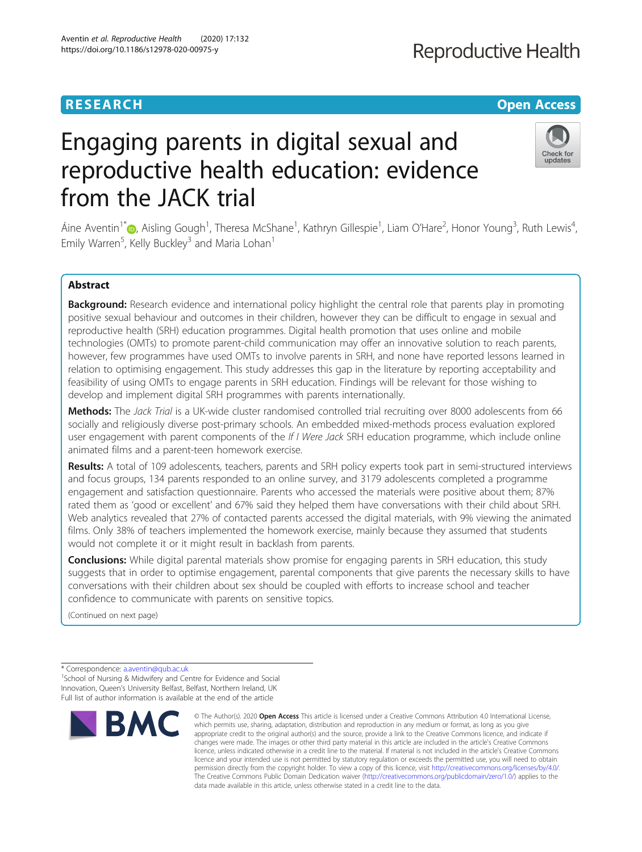# **Reproductive Health**

# **RESEARCH CHE Open Access**

# Engaging parents in digital sexual and reproductive health education: evidence from the JACK trial



Áine Aventin<sup>1\*</sup> (), Aisling Gough<sup>1</sup>, Theresa McShane<sup>1</sup>, Kathryn Gillespie<sup>1</sup>, Liam O'Hare<sup>2</sup>, Honor Young<sup>3</sup>, Ruth Lewis<sup>4</sup> , Emily Warren<sup>5</sup>, Kelly Buckley<sup>3</sup> and Maria Lohan<sup>1</sup>

# Abstract

Background: Research evidence and international policy highlight the central role that parents play in promoting positive sexual behaviour and outcomes in their children, however they can be difficult to engage in sexual and reproductive health (SRH) education programmes. Digital health promotion that uses online and mobile technologies (OMTs) to promote parent-child communication may offer an innovative solution to reach parents, however, few programmes have used OMTs to involve parents in SRH, and none have reported lessons learned in relation to optimising engagement. This study addresses this gap in the literature by reporting acceptability and feasibility of using OMTs to engage parents in SRH education. Findings will be relevant for those wishing to develop and implement digital SRH programmes with parents internationally.

Methods: The Jack Trial is a UK-wide cluster randomised controlled trial recruiting over 8000 adolescents from 66 socially and religiously diverse post-primary schools. An embedded mixed-methods process evaluation explored user engagement with parent components of the If I Were Jack SRH education programme, which include online animated films and a parent-teen homework exercise.

Results: A total of 109 adolescents, teachers, parents and SRH policy experts took part in semi-structured interviews and focus groups, 134 parents responded to an online survey, and 3179 adolescents completed a programme engagement and satisfaction questionnaire. Parents who accessed the materials were positive about them; 87% rated them as 'good or excellent' and 67% said they helped them have conversations with their child about SRH. Web analytics revealed that 27% of contacted parents accessed the digital materials, with 9% viewing the animated films. Only 38% of teachers implemented the homework exercise, mainly because they assumed that students would not complete it or it might result in backlash from parents.

**Conclusions:** While digital parental materials show promise for engaging parents in SRH education, this study suggests that in order to optimise engagement, parental components that give parents the necessary skills to have conversations with their children about sex should be coupled with efforts to increase school and teacher confidence to communicate with parents on sensitive topics.

(Continued on next page)

\* Correspondence: [a.aventin@qub.ac.uk](mailto:a.aventin@qub.ac.uk) <sup>1</sup>

<sup>1</sup>School of Nursing & Midwifery and Centre for Evidence and Social Innovation, Queen's University Belfast, Belfast, Northern Ireland, UK Full list of author information is available at the end of the article



<sup>©</sup> The Author(s), 2020 **Open Access** This article is licensed under a Creative Commons Attribution 4.0 International License, which permits use, sharing, adaptation, distribution and reproduction in any medium or format, as long as you give appropriate credit to the original author(s) and the source, provide a link to the Creative Commons licence, and indicate if changes were made. The images or other third party material in this article are included in the article's Creative Commons licence, unless indicated otherwise in a credit line to the material. If material is not included in the article's Creative Commons licence and your intended use is not permitted by statutory regulation or exceeds the permitted use, you will need to obtain permission directly from the copyright holder. To view a copy of this licence, visit [http://creativecommons.org/licenses/by/4.0/.](http://creativecommons.org/licenses/by/4.0/) The Creative Commons Public Domain Dedication waiver [\(http://creativecommons.org/publicdomain/zero/1.0/](http://creativecommons.org/publicdomain/zero/1.0/)) applies to the data made available in this article, unless otherwise stated in a credit line to the data.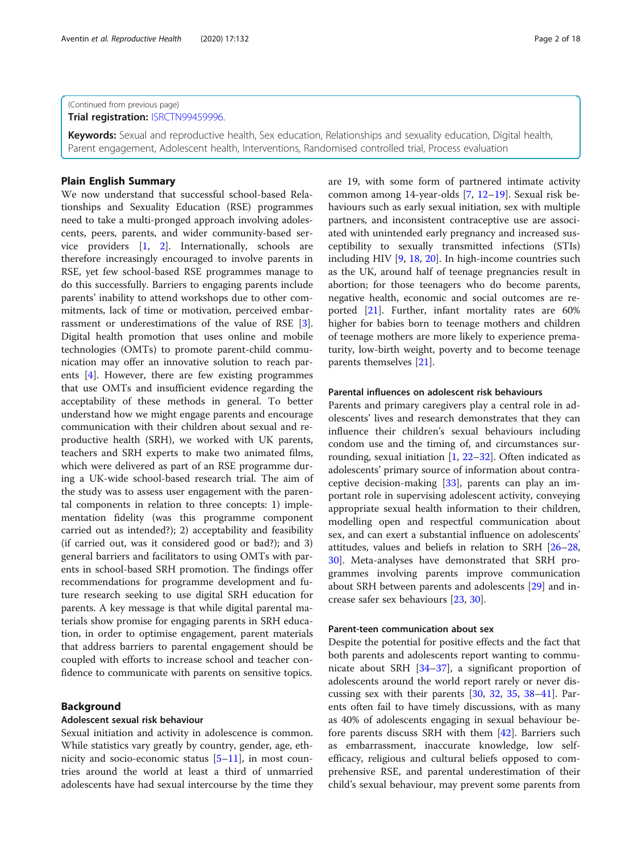(Continued from previous page) Trial registration: [ISRCTN99459996](http://www.isrctn.com/ISRCTN99459996).

Keywords: Sexual and reproductive health, Sex education, Relationships and sexuality education, Digital health, Parent engagement, Adolescent health, Interventions, Randomised controlled trial, Process evaluation

# Plain English Summary

We now understand that successful school-based Relationships and Sexuality Education (RSE) programmes need to take a multi-pronged approach involving adolescents, peers, parents, and wider community-based service providers [\[1](#page-14-0), [2](#page-14-0)]. Internationally, schools are therefore increasingly encouraged to involve parents in RSE, yet few school-based RSE programmes manage to do this successfully. Barriers to engaging parents include parents' inability to attend workshops due to other commitments, lack of time or motivation, perceived embarrassment or underestimations of the value of RSE [\[3](#page-14-0)]. Digital health promotion that uses online and mobile technologies (OMTs) to promote parent-child communication may offer an innovative solution to reach parents [[4\]](#page-14-0). However, there are few existing programmes that use OMTs and insufficient evidence regarding the acceptability of these methods in general. To better understand how we might engage parents and encourage communication with their children about sexual and reproductive health (SRH), we worked with UK parents, teachers and SRH experts to make two animated films, which were delivered as part of an RSE programme during a UK-wide school-based research trial. The aim of the study was to assess user engagement with the parental components in relation to three concepts: 1) implementation fidelity (was this programme component carried out as intended?); 2) acceptability and feasibility (if carried out, was it considered good or bad?); and 3) general barriers and facilitators to using OMTs with parents in school-based SRH promotion. The findings offer recommendations for programme development and future research seeking to use digital SRH education for parents. A key message is that while digital parental materials show promise for engaging parents in SRH education, in order to optimise engagement, parent materials that address barriers to parental engagement should be coupled with efforts to increase school and teacher confidence to communicate with parents on sensitive topics.

# Background

### Adolescent sexual risk behaviour

Sexual initiation and activity in adolescence is common. While statistics vary greatly by country, gender, age, ethnicity and socio-economic status  $[5-11]$  $[5-11]$  $[5-11]$  $[5-11]$  $[5-11]$ , in most countries around the world at least a third of unmarried adolescents have had sexual intercourse by the time they are 19, with some form of partnered intimate activity common among 14-year-olds [[7,](#page-14-0) [12](#page-14-0)–[19\]](#page-15-0). Sexual risk behaviours such as early sexual initiation, sex with multiple partners, and inconsistent contraceptive use are associated with unintended early pregnancy and increased susceptibility to sexually transmitted infections (STIs) including HIV [[9,](#page-14-0) [18](#page-15-0), [20](#page-15-0)]. In high-income countries such as the UK, around half of teenage pregnancies result in abortion; for those teenagers who do become parents, negative health, economic and social outcomes are reported [\[21](#page-15-0)]. Further, infant mortality rates are 60% higher for babies born to teenage mothers and children of teenage mothers are more likely to experience prematurity, low-birth weight, poverty and to become teenage parents themselves [\[21](#page-15-0)].

# Parental influences on adolescent risk behaviours

Parents and primary caregivers play a central role in adolescents' lives and research demonstrates that they can influence their children's sexual behaviours including condom use and the timing of, and circumstances surrounding, sexual initiation [\[1,](#page-14-0) [22](#page-15-0)–[32\]](#page-15-0). Often indicated as adolescents' primary source of information about contraceptive decision-making [[33](#page-15-0)], parents can play an important role in supervising adolescent activity, conveying appropriate sexual health information to their children, modelling open and respectful communication about sex, and can exert a substantial influence on adolescents' attitudes, values and beliefs in relation to SRH [[26](#page-15-0)–[28](#page-15-0), [30\]](#page-15-0). Meta-analyses have demonstrated that SRH programmes involving parents improve communication about SRH between parents and adolescents [[29\]](#page-15-0) and increase safer sex behaviours [[23,](#page-15-0) [30\]](#page-15-0).

## Parent-teen communication about sex

Despite the potential for positive effects and the fact that both parents and adolescents report wanting to communicate about SRH [\[34](#page-15-0)–[37\]](#page-15-0), a significant proportion of adolescents around the world report rarely or never discussing sex with their parents [\[30](#page-15-0), [32](#page-15-0), [35](#page-15-0), [38](#page-15-0)–[41\]](#page-15-0). Parents often fail to have timely discussions, with as many as 40% of adolescents engaging in sexual behaviour before parents discuss SRH with them [[42](#page-15-0)]. Barriers such as embarrassment, inaccurate knowledge, low selfefficacy, religious and cultural beliefs opposed to comprehensive RSE, and parental underestimation of their child's sexual behaviour, may prevent some parents from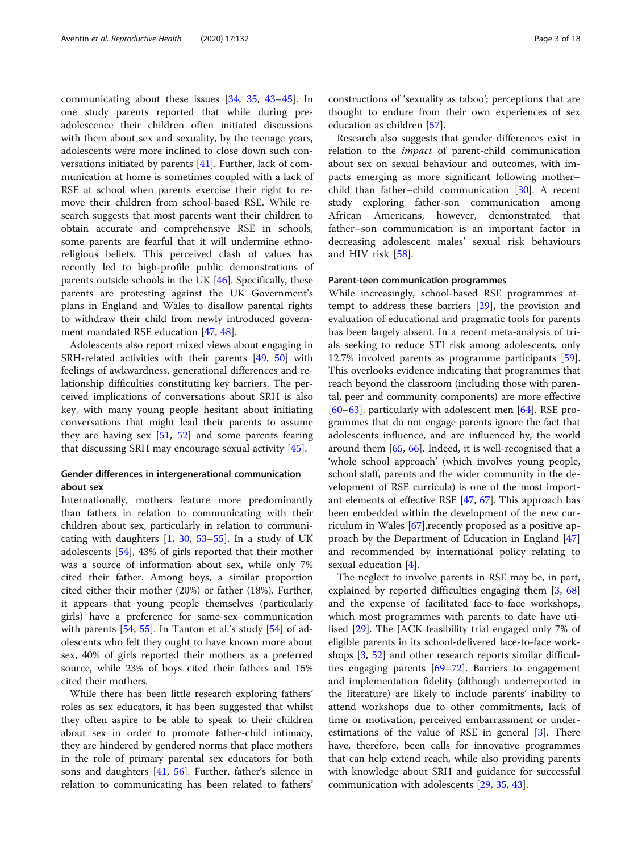communicating about these issues [[34,](#page-15-0) [35,](#page-15-0) [43](#page-15-0)–[45](#page-15-0)]. In one study parents reported that while during preadolescence their children often initiated discussions with them about sex and sexuality, by the teenage years, adolescents were more inclined to close down such conversations initiated by parents [\[41](#page-15-0)]. Further, lack of communication at home is sometimes coupled with a lack of RSE at school when parents exercise their right to remove their children from school-based RSE. While research suggests that most parents want their children to obtain accurate and comprehensive RSE in schools, some parents are fearful that it will undermine ethnoreligious beliefs. This perceived clash of values has recently led to high-profile public demonstrations of parents outside schools in the UK [\[46](#page-15-0)]. Specifically, these parents are protesting against the UK Government's plans in England and Wales to disallow parental rights to withdraw their child from newly introduced government mandated RSE education [[47,](#page-15-0) [48](#page-15-0)].

Adolescents also report mixed views about engaging in SRH-related activities with their parents [[49](#page-15-0), [50](#page-15-0)] with feelings of awkwardness, generational differences and relationship difficulties constituting key barriers. The perceived implications of conversations about SRH is also key, with many young people hesitant about initiating conversations that might lead their parents to assume they are having sex  $[51, 52]$  $[51, 52]$  $[51, 52]$  $[51, 52]$  $[51, 52]$  and some parents fearing that discussing SRH may encourage sexual activity [[45\]](#page-15-0).

# Gender differences in intergenerational communication about sex

Internationally, mothers feature more predominantly than fathers in relation to communicating with their children about sex, particularly in relation to communicating with daughters  $[1, 30, 53-55]$  $[1, 30, 53-55]$  $[1, 30, 53-55]$  $[1, 30, 53-55]$  $[1, 30, 53-55]$  $[1, 30, 53-55]$  $[1, 30, 53-55]$  $[1, 30, 53-55]$ . In a study of UK adolescents [[54\]](#page-16-0), 43% of girls reported that their mother was a source of information about sex, while only 7% cited their father. Among boys, a similar proportion cited either their mother (20%) or father (18%). Further, it appears that young people themselves (particularly girls) have a preference for same-sex communication with parents [\[54](#page-16-0), [55](#page-16-0)]. In Tanton et al.'s study [[54\]](#page-16-0) of adolescents who felt they ought to have known more about sex, 40% of girls reported their mothers as a preferred source, while 23% of boys cited their fathers and 15% cited their mothers.

While there has been little research exploring fathers' roles as sex educators, it has been suggested that whilst they often aspire to be able to speak to their children about sex in order to promote father-child intimacy, they are hindered by gendered norms that place mothers in the role of primary parental sex educators for both sons and daughters [\[41,](#page-15-0) [56](#page-16-0)]. Further, father's silence in relation to communicating has been related to fathers'

constructions of 'sexuality as taboo'; perceptions that are thought to endure from their own experiences of sex education as children [\[57](#page-16-0)].

Research also suggests that gender differences exist in relation to the impact of parent-child communication about sex on sexual behaviour and outcomes, with impacts emerging as more significant following mother– child than father–child communication [[30\]](#page-15-0). A recent study exploring father-son communication among African Americans, however, demonstrated that father–son communication is an important factor in decreasing adolescent males' sexual risk behaviours and HIV risk [\[58](#page-16-0)].

#### Parent-teen communication programmes

While increasingly, school-based RSE programmes attempt to address these barriers [[29\]](#page-15-0), the provision and evaluation of educational and pragmatic tools for parents has been largely absent. In a recent meta-analysis of trials seeking to reduce STI risk among adolescents, only 12.7% involved parents as programme participants [\[59](#page-16-0)]. This overlooks evidence indicating that programmes that reach beyond the classroom (including those with parental, peer and community components) are more effective  $[60-63]$  $[60-63]$  $[60-63]$  $[60-63]$  $[60-63]$ , particularly with adolescent men  $[64]$  $[64]$ . RSE programmes that do not engage parents ignore the fact that adolescents influence, and are influenced by, the world around them [\[65,](#page-16-0) [66\]](#page-16-0). Indeed, it is well-recognised that a 'whole school approach' (which involves young people, school staff, parents and the wider community in the development of RSE curricula) is one of the most important elements of effective RSE [\[47,](#page-15-0) [67\]](#page-16-0). This approach has been embedded within the development of the new curriculum in Wales [[67](#page-16-0)],recently proposed as a positive approach by the Department of Education in England [[47](#page-15-0)] and recommended by international policy relating to sexual education [\[4\]](#page-14-0).

The neglect to involve parents in RSE may be, in part, explained by reported difficulties engaging them [[3](#page-14-0), [68](#page-16-0)] and the expense of facilitated face-to-face workshops, which most programmes with parents to date have utilised [[29\]](#page-15-0). The JACK feasibility trial engaged only 7% of eligible parents in its school-delivered face-to-face workshops [[3,](#page-14-0) [52\]](#page-16-0) and other research reports similar difficulties engaging parents [\[69](#page-16-0)–[72\]](#page-16-0). Barriers to engagement and implementation fidelity (although underreported in the literature) are likely to include parents' inability to attend workshops due to other commitments, lack of time or motivation, perceived embarrassment or underestimations of the value of RSE in general [[3\]](#page-14-0). There have, therefore, been calls for innovative programmes that can help extend reach, while also providing parents with knowledge about SRH and guidance for successful communication with adolescents [\[29](#page-15-0), [35](#page-15-0), [43](#page-15-0)].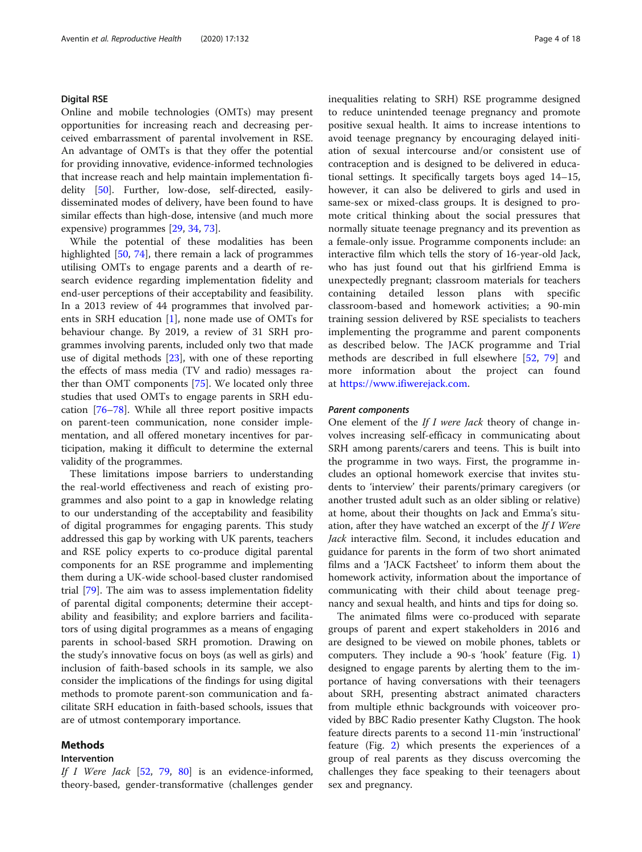# Digital RSE

Online and mobile technologies (OMTs) may present opportunities for increasing reach and decreasing perceived embarrassment of parental involvement in RSE. An advantage of OMTs is that they offer the potential for providing innovative, evidence-informed technologies that increase reach and help maintain implementation fidelity [[50\]](#page-15-0). Further, low-dose, self-directed, easilydisseminated modes of delivery, have been found to have similar effects than high-dose, intensive (and much more expensive) programmes [[29,](#page-15-0) [34](#page-15-0), [73](#page-16-0)].

While the potential of these modalities has been highlighted [\[50,](#page-15-0) [74\]](#page-16-0), there remain a lack of programmes utilising OMTs to engage parents and a dearth of research evidence regarding implementation fidelity and end-user perceptions of their acceptability and feasibility. In a 2013 review of 44 programmes that involved parents in SRH education [[1\]](#page-14-0), none made use of OMTs for behaviour change. By 2019, a review of 31 SRH programmes involving parents, included only two that made use of digital methods [[23\]](#page-15-0), with one of these reporting the effects of mass media (TV and radio) messages rather than OMT components [[75\]](#page-16-0). We located only three studies that used OMTs to engage parents in SRH education [\[76](#page-16-0)–[78\]](#page-16-0). While all three report positive impacts on parent-teen communication, none consider implementation, and all offered monetary incentives for participation, making it difficult to determine the external validity of the programmes.

These limitations impose barriers to understanding the real-world effectiveness and reach of existing programmes and also point to a gap in knowledge relating to our understanding of the acceptability and feasibility of digital programmes for engaging parents. This study addressed this gap by working with UK parents, teachers and RSE policy experts to co-produce digital parental components for an RSE programme and implementing them during a UK-wide school-based cluster randomised trial [[79\]](#page-16-0). The aim was to assess implementation fidelity of parental digital components; determine their acceptability and feasibility; and explore barriers and facilitators of using digital programmes as a means of engaging parents in school-based SRH promotion. Drawing on the study's innovative focus on boys (as well as girls) and inclusion of faith-based schools in its sample, we also consider the implications of the findings for using digital methods to promote parent-son communication and facilitate SRH education in faith-based schools, issues that are of utmost contemporary importance.

# Methods

# Intervention

If I Were Jack [[52,](#page-16-0) [79](#page-16-0), [80](#page-16-0)] is an evidence-informed, theory-based, gender-transformative (challenges gender inequalities relating to SRH) RSE programme designed to reduce unintended teenage pregnancy and promote positive sexual health. It aims to increase intentions to avoid teenage pregnancy by encouraging delayed initiation of sexual intercourse and/or consistent use of contraception and is designed to be delivered in educational settings. It specifically targets boys aged 14–15, however, it can also be delivered to girls and used in same-sex or mixed-class groups. It is designed to promote critical thinking about the social pressures that normally situate teenage pregnancy and its prevention as a female-only issue. Programme components include: an interactive film which tells the story of 16-year-old Jack, who has just found out that his girlfriend Emma is unexpectedly pregnant; classroom materials for teachers containing detailed lesson plans with specific classroom-based and homework activities; a 90-min training session delivered by RSE specialists to teachers implementing the programme and parent components as described below. The JACK programme and Trial methods are described in full elsewhere [[52](#page-16-0), [79](#page-16-0)] and more information about the project can found at [https://www.ifiwerejack.com.](https://www.ifiwerejack.com)

#### Parent components

One element of the If I were Jack theory of change involves increasing self-efficacy in communicating about SRH among parents/carers and teens. This is built into the programme in two ways. First, the programme includes an optional homework exercise that invites students to 'interview' their parents/primary caregivers (or another trusted adult such as an older sibling or relative) at home, about their thoughts on Jack and Emma's situation, after they have watched an excerpt of the If I Were Jack interactive film. Second, it includes education and guidance for parents in the form of two short animated films and a 'JACK Factsheet' to inform them about the homework activity, information about the importance of communicating with their child about teenage pregnancy and sexual health, and hints and tips for doing so.

The animated films were co-produced with separate groups of parent and expert stakeholders in 2016 and are designed to be viewed on mobile phones, tablets or computers. They include a 90-s 'hook' feature (Fig. [1](#page-4-0)) designed to engage parents by alerting them to the importance of having conversations with their teenagers about SRH, presenting abstract animated characters from multiple ethnic backgrounds with voiceover provided by BBC Radio presenter Kathy Clugston. The hook feature directs parents to a second 11-min 'instructional' feature (Fig. [2\)](#page-4-0) which presents the experiences of a group of real parents as they discuss overcoming the challenges they face speaking to their teenagers about sex and pregnancy.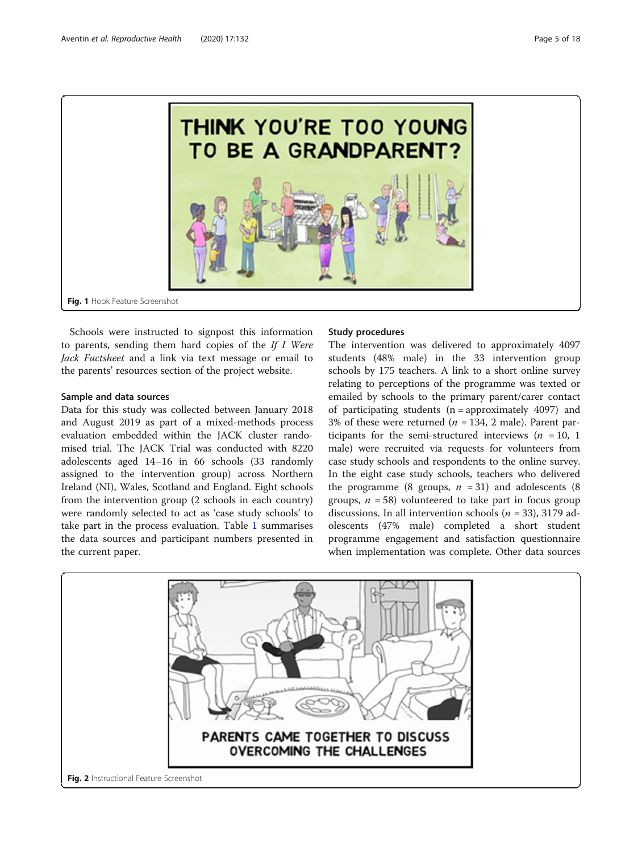<span id="page-4-0"></span>

Schools were instructed to signpost this information to parents, sending them hard copies of the If I Were Jack Factsheet and a link via text message or email to the parents' resources section of the project website.

#### Sample and data sources

Data for this study was collected between January 2018 and August 2019 as part of a mixed-methods process evaluation embedded within the JACK cluster randomised trial. The JACK Trial was conducted with 8220 adolescents aged 14–16 in 66 schools (33 randomly assigned to the intervention group) across Northern Ireland (NI), Wales, Scotland and England. Eight schools from the intervention group (2 schools in each country) were randomly selected to act as 'case study schools' to take part in the process evaluation. Table [1](#page-5-0) summarises the data sources and participant numbers presented in the current paper.

#### Study procedures

The intervention was delivered to approximately 4097 students (48% male) in the 33 intervention group schools by 175 teachers. A link to a short online survey relating to perceptions of the programme was texted or emailed by schools to the primary parent/carer contact of participating students ( $n =$ approximately 4097) and 3% of these were returned ( $n = 134$ , 2 male). Parent participants for the semi-structured interviews ( $n = 10, 1$ ) male) were recruited via requests for volunteers from case study schools and respondents to the online survey. In the eight case study schools, teachers who delivered the programme (8 groups,  $n = 31$ ) and adolescents (8 groups,  $n = 58$ ) volunteered to take part in focus group discussions. In all intervention schools ( $n = 33$ ), 3179 adolescents (47% male) completed a short student programme engagement and satisfaction questionnaire when implementation was complete. Other data sources

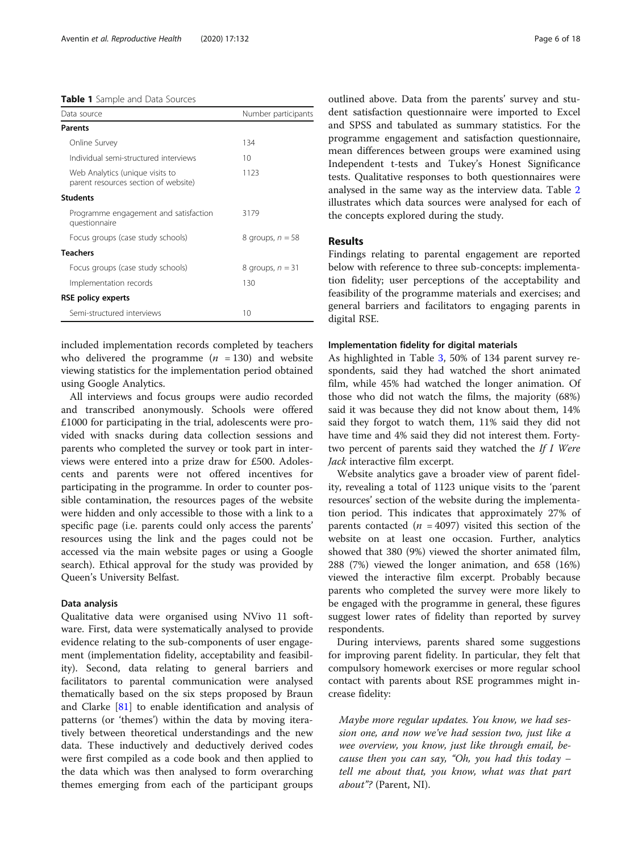#### <span id="page-5-0"></span>Table 1 Sample and Data Sources

| Data source                                                             | Number participants |  |  |
|-------------------------------------------------------------------------|---------------------|--|--|
| <b>Parents</b>                                                          |                     |  |  |
| Online Survey                                                           | 134                 |  |  |
| Individual semi-structured interviews                                   | 10                  |  |  |
| Web Analytics (unique visits to<br>parent resources section of website) | 1123                |  |  |
| <b>Students</b>                                                         |                     |  |  |
| Programme engagement and satisfaction<br>questionnaire                  | 3179                |  |  |
| Focus groups (case study schools)                                       | 8 groups, $n = 58$  |  |  |
| <b>Teachers</b>                                                         |                     |  |  |
| Focus groups (case study schools)                                       | 8 groups, $n = 31$  |  |  |
| Implementation records                                                  | 130                 |  |  |
| RSE policy experts                                                      |                     |  |  |
| Semi-structured interviews                                              | 10                  |  |  |

included implementation records completed by teachers who delivered the programme  $(n = 130)$  and website viewing statistics for the implementation period obtained using Google Analytics.

All interviews and focus groups were audio recorded and transcribed anonymously. Schools were offered £1000 for participating in the trial, adolescents were provided with snacks during data collection sessions and parents who completed the survey or took part in interviews were entered into a prize draw for £500. Adolescents and parents were not offered incentives for participating in the programme. In order to counter possible contamination, the resources pages of the website were hidden and only accessible to those with a link to a specific page (i.e. parents could only access the parents' resources using the link and the pages could not be accessed via the main website pages or using a Google search). Ethical approval for the study was provided by Queen's University Belfast.

#### Data analysis

Qualitative data were organised using NVivo 11 software. First, data were systematically analysed to provide evidence relating to the sub-components of user engagement (implementation fidelity, acceptability and feasibility). Second, data relating to general barriers and facilitators to parental communication were analysed thematically based on the six steps proposed by Braun and Clarke  $[81]$  $[81]$  to enable identification and analysis of patterns (or 'themes') within the data by moving iteratively between theoretical understandings and the new data. These inductively and deductively derived codes were first compiled as a code book and then applied to the data which was then analysed to form overarching themes emerging from each of the participant groups outlined above. Data from the parents' survey and student satisfaction questionnaire were imported to Excel and SPSS and tabulated as summary statistics. For the programme engagement and satisfaction questionnaire, mean differences between groups were examined using Independent t-tests and Tukey's Honest Significance tests. Qualitative responses to both questionnaires were analysed in the same way as the interview data. Table [2](#page-6-0) illustrates which data sources were analysed for each of the concepts explored during the study.

# Results

Findings relating to parental engagement are reported below with reference to three sub-concepts: implementation fidelity; user perceptions of the acceptability and feasibility of the programme materials and exercises; and general barriers and facilitators to engaging parents in digital RSE.

#### Implementation fidelity for digital materials

As highlighted in Table [3,](#page-6-0) 50% of 134 parent survey respondents, said they had watched the short animated film, while 45% had watched the longer animation. Of those who did not watch the films, the majority (68%) said it was because they did not know about them, 14% said they forgot to watch them, 11% said they did not have time and 4% said they did not interest them. Fortytwo percent of parents said they watched the If I Were Jack interactive film excerpt.

Website analytics gave a broader view of parent fidelity, revealing a total of 1123 unique visits to the 'parent resources' section of the website during the implementation period. This indicates that approximately 27% of parents contacted ( $n = 4097$ ) visited this section of the website on at least one occasion. Further, analytics showed that 380 (9%) viewed the shorter animated film, 288 (7%) viewed the longer animation, and 658 (16%) viewed the interactive film excerpt. Probably because parents who completed the survey were more likely to be engaged with the programme in general, these figures suggest lower rates of fidelity than reported by survey respondents.

During interviews, parents shared some suggestions for improving parent fidelity. In particular, they felt that compulsory homework exercises or more regular school contact with parents about RSE programmes might increase fidelity:

Maybe more regular updates. You know, we had session one, and now we've had session two, just like a wee overview, you know, just like through email, because then you can say, "Oh, you had this today – tell me about that, you know, what was that part about"? (Parent, NI).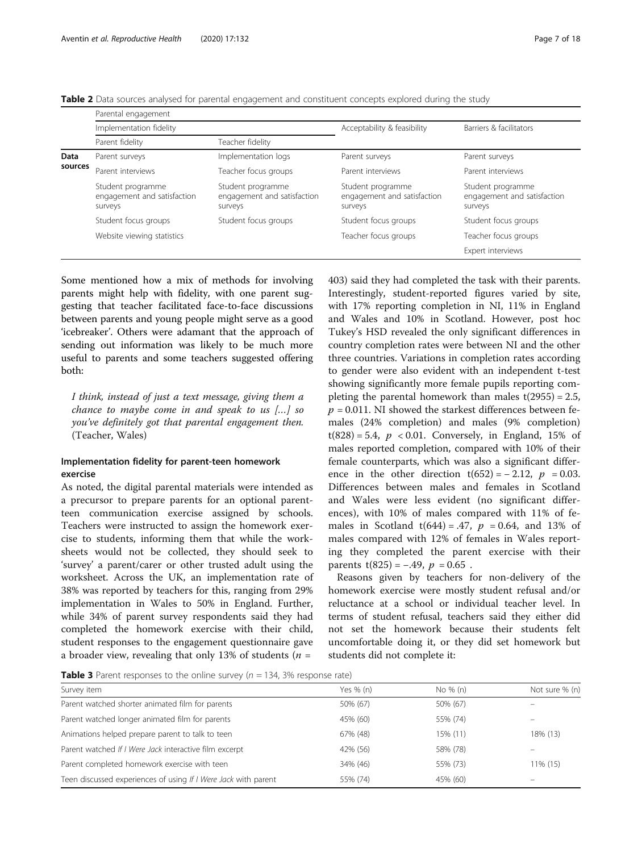<span id="page-6-0"></span>Table 2 Data sources analysed for parental engagement and constituent concepts explored during the study

|                 | Parental engagement                                         |                                                             |                                                             |                                                             |
|-----------------|-------------------------------------------------------------|-------------------------------------------------------------|-------------------------------------------------------------|-------------------------------------------------------------|
|                 | Implementation fidelity                                     |                                                             | Acceptability & feasibility                                 | Barriers & facilitators                                     |
|                 | Parent fidelity                                             | Teacher fidelity                                            |                                                             |                                                             |
| Data<br>sources | Parent surveys                                              | Implementation logs                                         | Parent surveys                                              | Parent surveys                                              |
|                 | Parent interviews                                           | Teacher focus groups                                        | Parent interviews                                           | Parent interviews                                           |
|                 | Student programme<br>engagement and satisfaction<br>surveys | Student programme<br>engagement and satisfaction<br>surveys | Student programme<br>engagement and satisfaction<br>surveys | Student programme<br>engagement and satisfaction<br>surveys |
|                 | Student focus groups                                        | Student focus groups                                        | Student focus groups                                        | Student focus groups                                        |
|                 | Website viewing statistics                                  |                                                             | Teacher focus groups                                        | Teacher focus groups                                        |
|                 |                                                             |                                                             |                                                             | Expert interviews                                           |

Some mentioned how a mix of methods for involving parents might help with fidelity, with one parent suggesting that teacher facilitated face-to-face discussions between parents and young people might serve as a good 'icebreaker'. Others were adamant that the approach of sending out information was likely to be much more useful to parents and some teachers suggested offering both:

I think, instead of just a text message, giving them a chance to maybe come in and speak to us […] so you've definitely got that parental engagement then. (Teacher, Wales)

# Implementation fidelity for parent-teen homework exercise

As noted, the digital parental materials were intended as a precursor to prepare parents for an optional parentteen communication exercise assigned by schools. Teachers were instructed to assign the homework exercise to students, informing them that while the worksheets would not be collected, they should seek to 'survey' a parent/carer or other trusted adult using the worksheet. Across the UK, an implementation rate of 38% was reported by teachers for this, ranging from 29% implementation in Wales to 50% in England. Further, while 34% of parent survey respondents said they had completed the homework exercise with their child, student responses to the engagement questionnaire gave a broader view, revealing that only 13% of students ( $n =$ 

403) said they had completed the task with their parents. Interestingly, student-reported figures varied by site, with 17% reporting completion in NI, 11% in England and Wales and 10% in Scotland. However, post hoc Tukey's HSD revealed the only significant differences in country completion rates were between NI and the other three countries. Variations in completion rates according to gender were also evident with an independent t-test showing significantly more female pupils reporting completing the parental homework than males  $t(2955) = 2.5$ ,  $p = 0.011$ . NI showed the starkest differences between females (24% completion) and males (9% completion)  $t(828) = 5.4$ ,  $p < 0.01$ . Conversely, in England, 15% of males reported completion, compared with 10% of their female counterparts, which was also a significant difference in the other direction t(652) =  $- 2.12$ ,  $p = 0.03$ . Differences between males and females in Scotland and Wales were less evident (no significant differences), with 10% of males compared with 11% of females in Scotland  $t(644) = .47$ ,  $p = 0.64$ , and 13% of males compared with 12% of females in Wales reporting they completed the parent exercise with their parents t(825) =  $-.49$ ,  $p = 0.65$ .

Reasons given by teachers for non-delivery of the homework exercise were mostly student refusal and/or reluctance at a school or individual teacher level. In terms of student refusal, teachers said they either did not set the homework because their students felt uncomfortable doing it, or they did set homework but students did not complete it:

**Table 3** Parent responses to the online survey ( $n = 134$ , 3% response rate)

| Survey item                                                    | Yes % (n) | $No \% (n)$ | Not sure % (n) |
|----------------------------------------------------------------|-----------|-------------|----------------|
| Parent watched shorter animated film for parents               | 50% (67)  | 50% (67)    | -              |
| Parent watched longer animated film for parents                | 45% (60)  | 55% (74)    |                |
| Animations helped prepare parent to talk to teen               | 67% (48)  | 15% (11)    | 18% (13)       |
| Parent watched If I Were Jack interactive film excerpt         | 42% (56)  | 58% (78)    |                |
| Parent completed homework exercise with teen                   | 34% (46)  | 55% (73)    | 11% (15)       |
| Teen discussed experiences of using If I Were Jack with parent | 55% (74)  | 45% (60)    |                |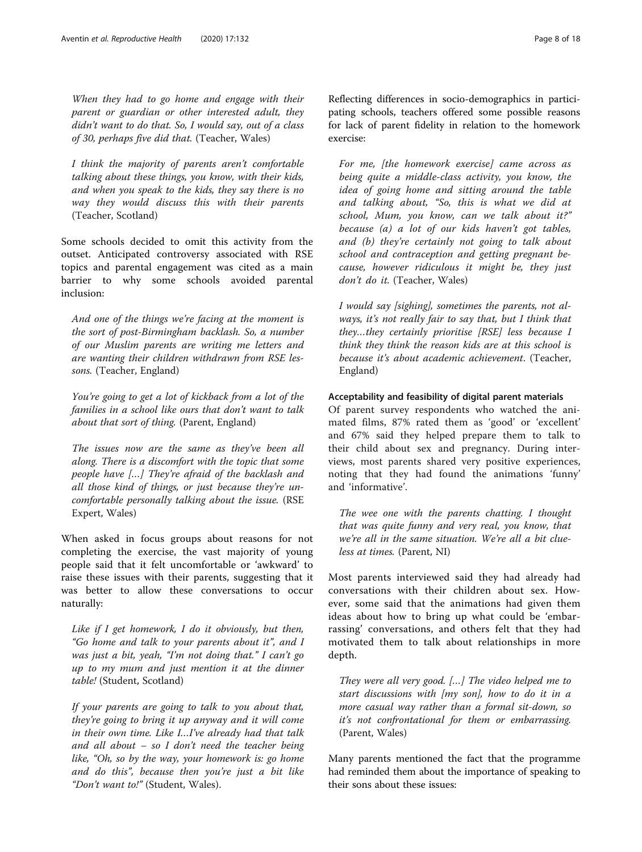When they had to go home and engage with their parent or guardian or other interested adult, they didn't want to do that. So, I would say, out of a class of 30, perhaps five did that. (Teacher, Wales)

I think the majority of parents aren't comfortable talking about these things, you know, with their kids, and when you speak to the kids, they say there is no way they would discuss this with their parents (Teacher, Scotland)

Some schools decided to omit this activity from the outset. Anticipated controversy associated with RSE topics and parental engagement was cited as a main barrier to why some schools avoided parental inclusion:

And one of the things we're facing at the moment is the sort of post-Birmingham backlash. So, a number of our Muslim parents are writing me letters and are wanting their children withdrawn from RSE lessons. (Teacher, England)

You're going to get a lot of kickback from a lot of the families in a school like ours that don't want to talk about that sort of thing. (Parent, England)

The issues now are the same as they've been all along. There is a discomfort with the topic that some people have […] They're afraid of the backlash and all those kind of things, or just because they're uncomfortable personally talking about the issue. (RSE Expert, Wales)

When asked in focus groups about reasons for not completing the exercise, the vast majority of young people said that it felt uncomfortable or 'awkward' to raise these issues with their parents, suggesting that it was better to allow these conversations to occur naturally:

Like if I get homework, I do it obviously, but then, "Go home and talk to your parents about it", and I was just a bit, yeah, "I'm not doing that." I can't go up to my mum and just mention it at the dinner table! (Student, Scotland)

If your parents are going to talk to you about that, they're going to bring it up anyway and it will come in their own time. Like I…I've already had that talk and all about  $-$  so I don't need the teacher being like, "Oh, so by the way, your homework is: go home and do this", because then you're just a bit like "Don't want to!" (Student, Wales).

Reflecting differences in socio-demographics in participating schools, teachers offered some possible reasons for lack of parent fidelity in relation to the homework exercise:

For me, [the homework exercise] came across as being quite a middle-class activity, you know, the idea of going home and sitting around the table and talking about, "So, this is what we did at school, Mum, you know, can we talk about it?" because (a) a lot of our kids haven't got tables, and (b) they're certainly not going to talk about school and contraception and getting pregnant because, however ridiculous it might be, they just don't do it. (Teacher, Wales)

I would say [sighing], sometimes the parents, not always, it's not really fair to say that, but I think that they…they certainly prioritise [RSE] less because I think they think the reason kids are at this school is because it's about academic achievement. (Teacher, England)

# Acceptability and feasibility of digital parent materials

Of parent survey respondents who watched the animated films, 87% rated them as 'good' or 'excellent' and 67% said they helped prepare them to talk to their child about sex and pregnancy. During interviews, most parents shared very positive experiences, noting that they had found the animations 'funny' and 'informative'.

The wee one with the parents chatting. I thought that was quite funny and very real, you know, that we're all in the same situation. We're all a bit clueless at times. (Parent, NI)

Most parents interviewed said they had already had conversations with their children about sex. However, some said that the animations had given them ideas about how to bring up what could be 'embarrassing' conversations, and others felt that they had motivated them to talk about relationships in more depth.

They were all very good. […] The video helped me to start discussions with [my son], how to do it in a more casual way rather than a formal sit-down, so it's not confrontational for them or embarrassing. (Parent, Wales)

Many parents mentioned the fact that the programme had reminded them about the importance of speaking to their sons about these issues: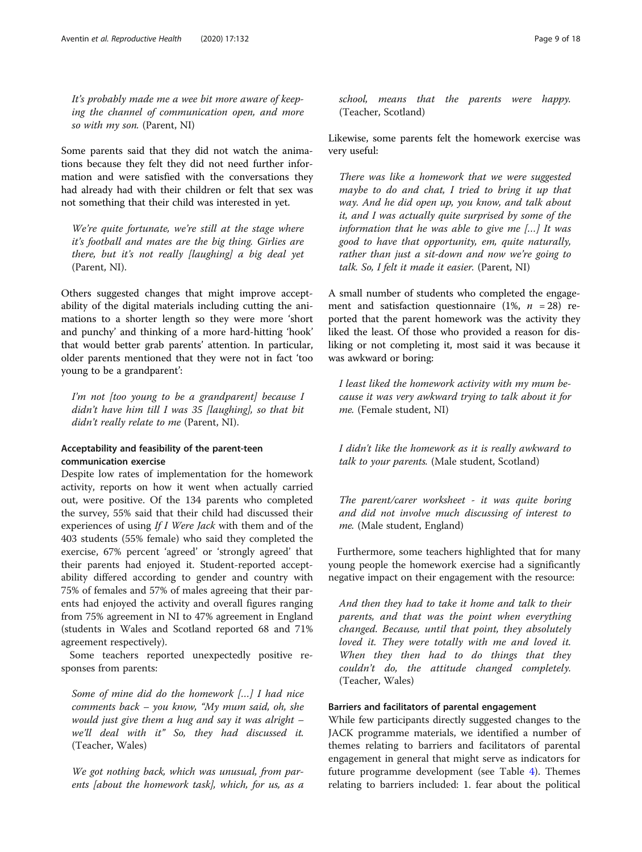It's probably made me a wee bit more aware of keeping the channel of communication open, and more so with my son. (Parent, NI)

Some parents said that they did not watch the animations because they felt they did not need further information and were satisfied with the conversations they had already had with their children or felt that sex was not something that their child was interested in yet.

We're quite fortunate, we're still at the stage where it's football and mates are the big thing. Girlies are there, but it's not really [laughing] a big deal yet (Parent, NI).

Others suggested changes that might improve acceptability of the digital materials including cutting the animations to a shorter length so they were more 'short and punchy' and thinking of a more hard-hitting 'hook' that would better grab parents' attention. In particular, older parents mentioned that they were not in fact 'too young to be a grandparent':

I'm not *(too young to be a grandparent)* because I didn't have him till I was 35 [laughing], so that bit didn't really relate to me (Parent, NI).

# Acceptability and feasibility of the parent-teen communication exercise

Despite low rates of implementation for the homework activity, reports on how it went when actually carried out, were positive. Of the 134 parents who completed the survey, 55% said that their child had discussed their experiences of using If I Were Jack with them and of the 403 students (55% female) who said they completed the exercise, 67% percent 'agreed' or 'strongly agreed' that their parents had enjoyed it. Student-reported acceptability differed according to gender and country with 75% of females and 57% of males agreeing that their parents had enjoyed the activity and overall figures ranging from 75% agreement in NI to 47% agreement in England (students in Wales and Scotland reported 68 and 71% agreement respectively).

Some teachers reported unexpectedly positive responses from parents:

Some of mine did do the homework […] I had nice comments back – you know, "My mum said, oh, she would just give them a hug and say it was alright – we'll deal with it" So, they had discussed it. (Teacher, Wales)

We got nothing back, which was unusual, from parents [about the homework task], which, for us, as a school, means that the parents were happy. (Teacher, Scotland)

Likewise, some parents felt the homework exercise was very useful:

There was like a homework that we were suggested maybe to do and chat, I tried to bring it up that way. And he did open up, you know, and talk about it, and I was actually quite surprised by some of the information that he was able to give me […] It was good to have that opportunity, em, quite naturally, rather than just a sit-down and now we're going to talk. So, I felt it made it easier. (Parent, NI)

A small number of students who completed the engagement and satisfaction questionnaire  $(1\%, n = 28)$  reported that the parent homework was the activity they liked the least. Of those who provided a reason for disliking or not completing it, most said it was because it was awkward or boring:

I least liked the homework activity with my mum because it was very awkward trying to talk about it for me. (Female student, NI)

I didn't like the homework as it is really awkward to talk to your parents. (Male student, Scotland)

The parent/carer worksheet - it was quite boring and did not involve much discussing of interest to me. (Male student, England)

Furthermore, some teachers highlighted that for many young people the homework exercise had a significantly negative impact on their engagement with the resource:

And then they had to take it home and talk to their parents, and that was the point when everything changed. Because, until that point, they absolutely loved it. They were totally with me and loved it. When they then had to do things that they couldn't do, the attitude changed completely. (Teacher, Wales)

# Barriers and facilitators of parental engagement

While few participants directly suggested changes to the JACK programme materials, we identified a number of themes relating to barriers and facilitators of parental engagement in general that might serve as indicators for future programme development (see Table [4](#page-10-0)). Themes relating to barriers included: 1. fear about the political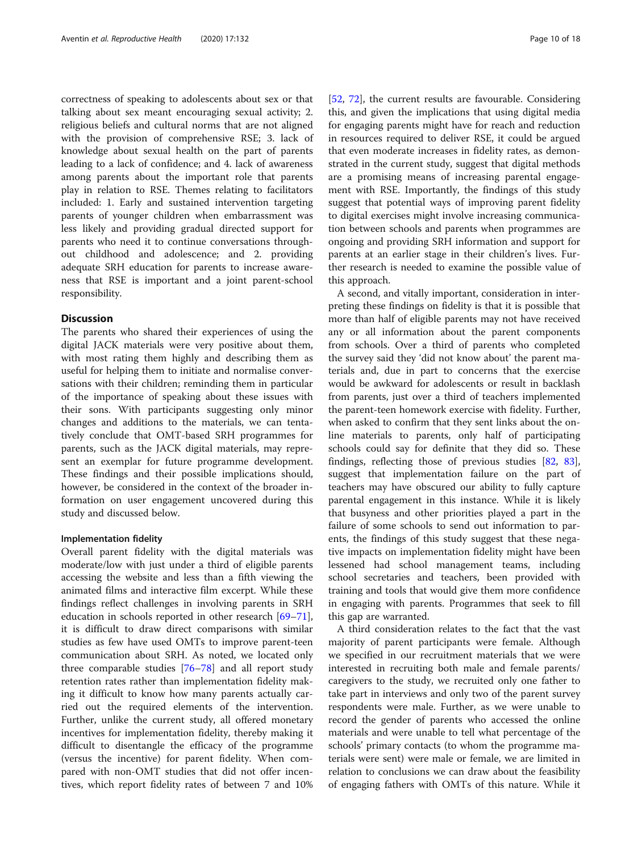correctness of speaking to adolescents about sex or that talking about sex meant encouraging sexual activity; 2. religious beliefs and cultural norms that are not aligned with the provision of comprehensive RSE; 3. lack of knowledge about sexual health on the part of parents leading to a lack of confidence; and 4. lack of awareness among parents about the important role that parents play in relation to RSE. Themes relating to facilitators included: 1. Early and sustained intervention targeting parents of younger children when embarrassment was less likely and providing gradual directed support for parents who need it to continue conversations throughout childhood and adolescence; and 2. providing adequate SRH education for parents to increase awareness that RSE is important and a joint parent-school responsibility.

# **Discussion**

The parents who shared their experiences of using the digital JACK materials were very positive about them, with most rating them highly and describing them as useful for helping them to initiate and normalise conversations with their children; reminding them in particular of the importance of speaking about these issues with their sons. With participants suggesting only minor changes and additions to the materials, we can tentatively conclude that OMT-based SRH programmes for parents, such as the JACK digital materials, may represent an exemplar for future programme development. These findings and their possible implications should, however, be considered in the context of the broader information on user engagement uncovered during this study and discussed below.

#### Implementation fidelity

Overall parent fidelity with the digital materials was moderate/low with just under a third of eligible parents accessing the website and less than a fifth viewing the animated films and interactive film excerpt. While these findings reflect challenges in involving parents in SRH education in schools reported in other research [[69](#page-16-0)–[71](#page-16-0)], it is difficult to draw direct comparisons with similar studies as few have used OMTs to improve parent-teen communication about SRH. As noted, we located only three comparable studies [[76](#page-16-0)–[78](#page-16-0)] and all report study retention rates rather than implementation fidelity making it difficult to know how many parents actually carried out the required elements of the intervention. Further, unlike the current study, all offered monetary incentives for implementation fidelity, thereby making it difficult to disentangle the efficacy of the programme (versus the incentive) for parent fidelity. When compared with non-OMT studies that did not offer incentives, which report fidelity rates of between 7 and 10%

[[52,](#page-16-0) [72\]](#page-16-0), the current results are favourable. Considering this, and given the implications that using digital media for engaging parents might have for reach and reduction in resources required to deliver RSE, it could be argued that even moderate increases in fidelity rates, as demonstrated in the current study, suggest that digital methods are a promising means of increasing parental engagement with RSE. Importantly, the findings of this study suggest that potential ways of improving parent fidelity to digital exercises might involve increasing communication between schools and parents when programmes are ongoing and providing SRH information and support for parents at an earlier stage in their children's lives. Further research is needed to examine the possible value of this approach.

A second, and vitally important, consideration in interpreting these findings on fidelity is that it is possible that more than half of eligible parents may not have received any or all information about the parent components from schools. Over a third of parents who completed the survey said they 'did not know about' the parent materials and, due in part to concerns that the exercise would be awkward for adolescents or result in backlash from parents, just over a third of teachers implemented the parent-teen homework exercise with fidelity. Further, when asked to confirm that they sent links about the online materials to parents, only half of participating schools could say for definite that they did so. These findings, reflecting those of previous studies [\[82,](#page-16-0) [83](#page-16-0)], suggest that implementation failure on the part of teachers may have obscured our ability to fully capture parental engagement in this instance. While it is likely that busyness and other priorities played a part in the failure of some schools to send out information to parents, the findings of this study suggest that these negative impacts on implementation fidelity might have been lessened had school management teams, including school secretaries and teachers, been provided with training and tools that would give them more confidence in engaging with parents. Programmes that seek to fill this gap are warranted.

A third consideration relates to the fact that the vast majority of parent participants were female. Although we specified in our recruitment materials that we were interested in recruiting both male and female parents/ caregivers to the study, we recruited only one father to take part in interviews and only two of the parent survey respondents were male. Further, as we were unable to record the gender of parents who accessed the online materials and were unable to tell what percentage of the schools' primary contacts (to whom the programme materials were sent) were male or female, we are limited in relation to conclusions we can draw about the feasibility of engaging fathers with OMTs of this nature. While it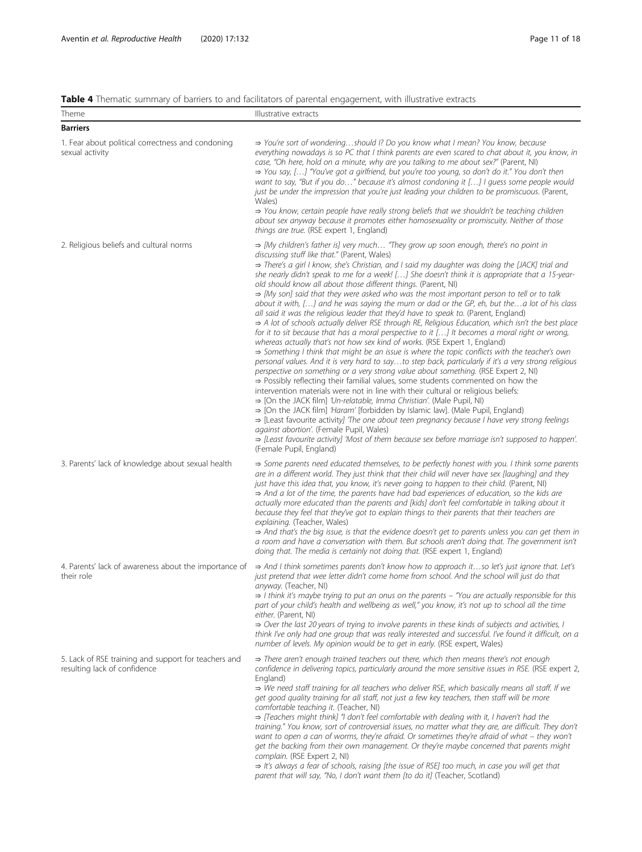<span id="page-10-0"></span>Table 4 Thematic summary of barriers to and facilitators of parental engagement, with illustrative extracts

| Theme                                                                                | or barriers to and racmators or paremar engagement, marrimastrative extracts<br>Illustrative extracts                                                                                                                                                                                                                                                                                                                                                                                                                                                                                                                                                                                                                                                                                                                                                                                                                                                                                                                                                                                                                                                                                                                                                                                                                                                                                                                                                                                                                                                                                                                                                                                                                                                                                                                                                                                                                                                                           |
|--------------------------------------------------------------------------------------|---------------------------------------------------------------------------------------------------------------------------------------------------------------------------------------------------------------------------------------------------------------------------------------------------------------------------------------------------------------------------------------------------------------------------------------------------------------------------------------------------------------------------------------------------------------------------------------------------------------------------------------------------------------------------------------------------------------------------------------------------------------------------------------------------------------------------------------------------------------------------------------------------------------------------------------------------------------------------------------------------------------------------------------------------------------------------------------------------------------------------------------------------------------------------------------------------------------------------------------------------------------------------------------------------------------------------------------------------------------------------------------------------------------------------------------------------------------------------------------------------------------------------------------------------------------------------------------------------------------------------------------------------------------------------------------------------------------------------------------------------------------------------------------------------------------------------------------------------------------------------------------------------------------------------------------------------------------------------------|
| <b>Barriers</b>                                                                      |                                                                                                                                                                                                                                                                                                                                                                                                                                                                                                                                                                                                                                                                                                                                                                                                                                                                                                                                                                                                                                                                                                                                                                                                                                                                                                                                                                                                                                                                                                                                                                                                                                                                                                                                                                                                                                                                                                                                                                                 |
| 1. Fear about political correctness and condoning<br>sexual activity                 | ⇒ You're sort of wonderingshould I? Do you know what I mean? You know, because<br>everything nowadays is so PC that I think parents are even scared to chat about it, you know, in<br>case, "Oh here, hold on a minute, why are you talking to me about sex?" (Parent, NI)<br>⇒ You say, [] "You've got a girlfriend, but you're too young, so don't do it." You don't then<br>want to say, "But if you do" because it's almost condoning it [] I guess some people would<br>just be under the impression that you're just leading your children to be promiscuous. (Parent,<br>Wales)<br>$\Rightarrow$ You know, certain people have really strong beliefs that we shouldn't be teaching children<br>about sex anyway because it promotes either homosexuality or promiscuity. Neither of those<br>things are true. (RSE expert 1, England)                                                                                                                                                                                                                                                                                                                                                                                                                                                                                                                                                                                                                                                                                                                                                                                                                                                                                                                                                                                                                                                                                                                                    |
| 2. Religious beliefs and cultural norms                                              | $\Rightarrow$ [My children's father is] very much "They grow up soon enough, there's no point in<br>discussing stuff like that." (Parent, Wales)<br>⇒ There's a girl I know, she's Christian, and I said my daughter was doing the [JACK] trial and<br>she nearly didn't speak to me for a week! [] She doesn't think it is appropriate that a 15-year-<br>old should know all about those different things. (Parent, NI)<br>$\Rightarrow$ [My son] said that they were asked who was the most important person to tell or to talk<br>about it with, $[]$ and he was saying the mum or dad or the GP, eh, but thea lot of his class<br>all said it was the religious leader that they'd have to speak to. (Parent, England)<br>A lot of schools actually deliver RSE through RE, Religious Education, which isn't the best place<br>for it to sit because that has a moral perspective to it $[]$ It becomes a moral right or wrong,<br>whereas actually that's not how sex kind of works. (RSE Expert 1, England)<br>⇒ Something I think that might be an issue is where the topic conflicts with the teacher's own<br>personal values. And it is very hard to sayto step back, particularly if it's a very strong religious<br>perspective on something or a very strong value about something. (RSE Expert 2, NI)<br>⇒ Possibly reflecting their familial values, some students commented on how the<br>intervention materials were not in line with their cultural or religious beliefs:<br>$\Rightarrow$ [On the JACK film] 'Un-relatable, Imma Christian'. (Male Pupil, NI)<br>⇒ [On the JACK film] 'Haram' [forbidden by Islamic law]. (Male Pupil, England)<br>$\Rightarrow$ [Least favourite activity] The one about teen pregnancy because I have very strong feelings<br><i>against abortion'.</i> (Female Pupil, Wales)<br>$\Rightarrow$ [Least favourite activity] 'Most of them because sex before marriage isn't supposed to happen'.<br>(Female Pupil, England) |
| 3. Parents' lack of knowledge about sexual health                                    | $\Rightarrow$ Some parents need educated themselves, to be perfectly honest with you. I think some parents<br>are in a different world. They just think that their child will never have sex [laughing] and they<br>just have this idea that, you know, it's never going to happen to their child. (Parent, NI)<br>$\Rightarrow$ And a lot of the time, the parents have had bad experiences of education, so the kids are<br>actually more educated than the parents and [kids] don't feel comfortable in talking about it<br>because they feel that they've got to explain things to their parents that their teachers are<br>explaining. (Teacher, Wales)<br>$\Rightarrow$ And that's the big issue, is that the evidence doesn't get to parents unless you can get them in<br>a room and have a conversation with them. But schools aren't doing that. The government isn't<br>doing that. The media is certainly not doing that. (RSE expert 1, England)                                                                                                                                                                                                                                                                                                                                                                                                                                                                                                                                                                                                                                                                                                                                                                                                                                                                                                                                                                                                                   |
| 4. Parents' lack of awareness about the importance of<br>their role                  | $\Rightarrow$ And I think sometimes parents don't know how to approach itso let's just ignore that. Let's<br>just pretend that wee letter didn't come home from school. And the school will just do that<br>anyway. (Teacher, NI)<br>$\Rightarrow$ I think it's maybe trying to put an onus on the parents – "You are actually responsible for this<br>part of your child's health and wellbeing as well," you know, it's not up to school all the time<br>either. (Parent, NI)<br>$\Rightarrow$ Over the last 20 years of trying to involve parents in these kinds of subjects and activities, I<br>think I've only had one group that was really interested and successful. I've found it difficult, on a<br>number of levels. My opinion would be to get in early. (RSE expert, Wales)                                                                                                                                                                                                                                                                                                                                                                                                                                                                                                                                                                                                                                                                                                                                                                                                                                                                                                                                                                                                                                                                                                                                                                                       |
| 5. Lack of RSE training and support for teachers and<br>resulting lack of confidence | $\Rightarrow$ There aren't enough trained teachers out there, which then means there's not enough<br>confidence in delivering topics, particularly around the more sensitive issues in RSE. (RSE expert 2,<br>England)<br>$\Rightarrow$ We need staff training for all teachers who deliver RSE, which basically means all staff. If we<br>get good quality training for all staff, not just a few key teachers, then staff will be more<br>comfortable teaching it. (Teacher, NI)<br>$\Rightarrow$ [Teachers might think] "I don't feel comfortable with dealing with it, I haven't had the<br>training." You know, sort of controversial issues, no matter what they are, are difficult. They don't<br>want to open a can of worms, they're afraid. Or sometimes they're afraid of what – they won't<br>get the backing from their own management. Or they're maybe concerned that parents might<br>complain. (RSE Expert 2, NI)<br>$\Rightarrow$ It's always a fear of schools, raising [the issue of RSE] too much, in case you will get that<br>parent that will say, "No, I don't want them [to do it] (Teacher, Scotland)                                                                                                                                                                                                                                                                                                                                                                                                                                                                                                                                                                                                                                                                                                                                                                                                                                                |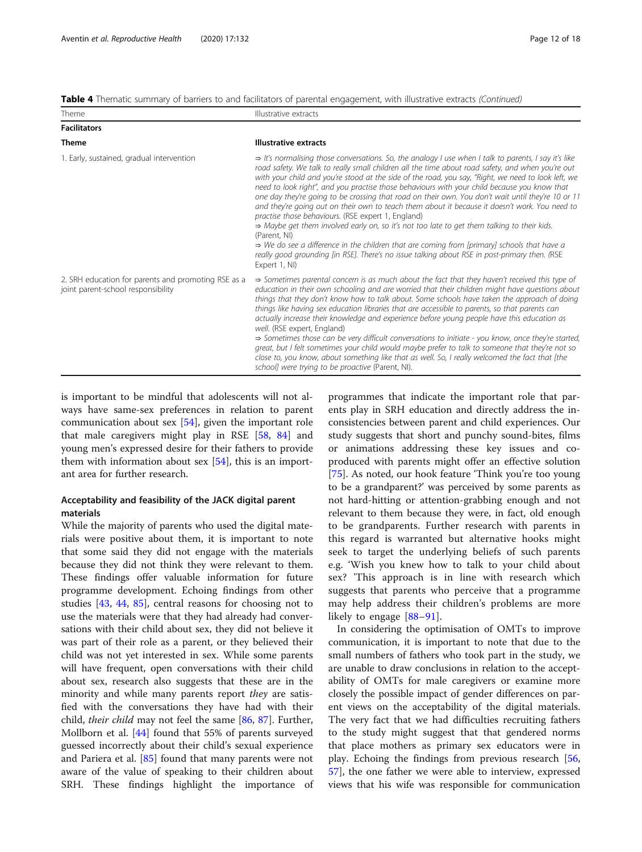Table 4 Thematic summary of barriers to and facilitators of parental engagement, with illustrative extracts (Continued)

| Theme                                                                                     | Illustrative extracts                                                                                                                                                                                                                                                                                                                                                                                                                                                                                                                                                                                                                                                                                                                                                                                                                                                                                                                                                                                                                               |
|-------------------------------------------------------------------------------------------|-----------------------------------------------------------------------------------------------------------------------------------------------------------------------------------------------------------------------------------------------------------------------------------------------------------------------------------------------------------------------------------------------------------------------------------------------------------------------------------------------------------------------------------------------------------------------------------------------------------------------------------------------------------------------------------------------------------------------------------------------------------------------------------------------------------------------------------------------------------------------------------------------------------------------------------------------------------------------------------------------------------------------------------------------------|
| <b>Facilitators</b>                                                                       |                                                                                                                                                                                                                                                                                                                                                                                                                                                                                                                                                                                                                                                                                                                                                                                                                                                                                                                                                                                                                                                     |
| <b>Theme</b>                                                                              | <b>Illustrative extracts</b>                                                                                                                                                                                                                                                                                                                                                                                                                                                                                                                                                                                                                                                                                                                                                                                                                                                                                                                                                                                                                        |
| 1. Early, sustained, gradual intervention                                                 | $\Rightarrow$ It's normalising those conversations. So, the analogy I use when I talk to parents, I say it's like<br>road safety. We talk to really small children all the time about road safety, and when you're out<br>with your child and you're stood at the side of the road, you say, "Right, we need to look left, we<br>need to look right", and you practise those behaviours with your child because you know that<br>one day they're going to be crossing that road on their own. You don't wait until they're 10 or 11<br>and they're going out on their own to teach them about it because it doesn't work. You need to<br>practise those behaviours. (RSE expert 1, England)<br>$\Rightarrow$ Maybe get them involved early on, so it's not too late to get them talking to their kids.<br>(Parent, NI)<br>$\Rightarrow$ We do see a difference in the children that are coming from [primary] schools that have a<br>really good grounding [in RSE]. There's no issue talking about RSE in post-primary then. (RSE<br>Expert 1, NI) |
| 2. SRH education for parents and promoting RSE as a<br>joint parent-school responsibility | $\Rightarrow$ Sometimes parental concern is as much about the fact that they haven't received this type of<br>education in their own schooling and are worried that their children might have questions about<br>things that they don't know how to talk about. Some schools have taken the approach of doing<br>things like having sex education libraries that are accessible to parents, so that parents can<br>actually increase their knowledge and experience before young people have this education as<br>well. (RSE expert, England)<br>$\Rightarrow$ Sometimes those can be very difficult conversations to initiate - you know, once they're started,<br>great, but I felt sometimes your child would maybe prefer to talk to someone that they're not so<br>close to, you know, about something like that as well. So, I really welcomed the fact that [the<br>school] were trying to be proactive (Parent, NI).                                                                                                                        |

is important to be mindful that adolescents will not always have same-sex preferences in relation to parent communication about sex [[54](#page-16-0)], given the important role that male caregivers might play in RSE [[58](#page-16-0), [84\]](#page-16-0) and young men's expressed desire for their fathers to provide them with information about sex  $[54]$  $[54]$ , this is an important area for further research.

# Acceptability and feasibility of the JACK digital parent materials

While the majority of parents who used the digital materials were positive about them, it is important to note that some said they did not engage with the materials because they did not think they were relevant to them. These findings offer valuable information for future programme development. Echoing findings from other studies [[43,](#page-15-0) [44,](#page-15-0) [85](#page-16-0)], central reasons for choosing not to use the materials were that they had already had conversations with their child about sex, they did not believe it was part of their role as a parent, or they believed their child was not yet interested in sex. While some parents will have frequent, open conversations with their child about sex, research also suggests that these are in the minority and while many parents report *they* are satisfied with the conversations they have had with their child, their child may not feel the same [\[86](#page-16-0), [87](#page-17-0)]. Further, Mollborn et al. [[44\]](#page-15-0) found that 55% of parents surveyed guessed incorrectly about their child's sexual experience and Pariera et al. [[85\]](#page-16-0) found that many parents were not aware of the value of speaking to their children about SRH. These findings highlight the importance of

programmes that indicate the important role that parents play in SRH education and directly address the inconsistencies between parent and child experiences. Our study suggests that short and punchy sound-bites, films or animations addressing these key issues and coproduced with parents might offer an effective solution [[75\]](#page-16-0). As noted, our hook feature 'Think you're too young to be a grandparent?' was perceived by some parents as not hard-hitting or attention-grabbing enough and not relevant to them because they were, in fact, old enough to be grandparents. Further research with parents in this regard is warranted but alternative hooks might seek to target the underlying beliefs of such parents e.g. 'Wish you knew how to talk to your child about sex? 'This approach is in line with research which suggests that parents who perceive that a programme may help address their children's problems are more likely to engage [[88](#page-17-0)–[91\]](#page-17-0).

In considering the optimisation of OMTs to improve communication, it is important to note that due to the small numbers of fathers who took part in the study, we are unable to draw conclusions in relation to the acceptability of OMTs for male caregivers or examine more closely the possible impact of gender differences on parent views on the acceptability of the digital materials. The very fact that we had difficulties recruiting fathers to the study might suggest that that gendered norms that place mothers as primary sex educators were in play. Echoing the findings from previous research [[56](#page-16-0), [57\]](#page-16-0), the one father we were able to interview, expressed views that his wife was responsible for communication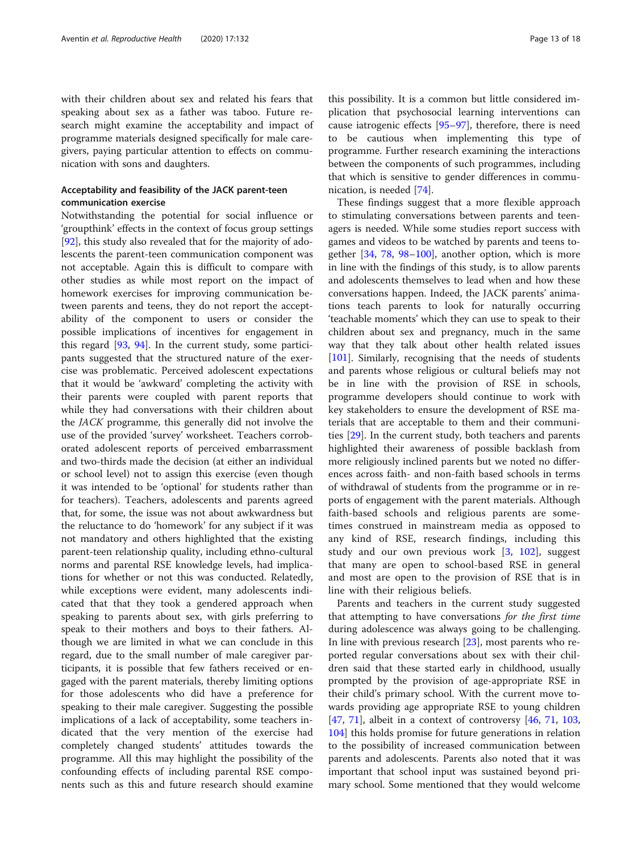with their children about sex and related his fears that speaking about sex as a father was taboo. Future research might examine the acceptability and impact of programme materials designed specifically for male caregivers, paying particular attention to effects on communication with sons and daughters.

# Acceptability and feasibility of the JACK parent-teen communication exercise

Notwithstanding the potential for social influence or 'groupthink' effects in the context of focus group settings [[92\]](#page-17-0), this study also revealed that for the majority of adolescents the parent-teen communication component was not acceptable. Again this is difficult to compare with other studies as while most report on the impact of homework exercises for improving communication between parents and teens, they do not report the acceptability of the component to users or consider the possible implications of incentives for engagement in this regard [[93,](#page-17-0) [94\]](#page-17-0). In the current study, some participants suggested that the structured nature of the exercise was problematic. Perceived adolescent expectations that it would be 'awkward' completing the activity with their parents were coupled with parent reports that while they had conversations with their children about the JACK programme, this generally did not involve the use of the provided 'survey' worksheet. Teachers corroborated adolescent reports of perceived embarrassment and two-thirds made the decision (at either an individual or school level) not to assign this exercise (even though it was intended to be 'optional' for students rather than for teachers). Teachers, adolescents and parents agreed that, for some, the issue was not about awkwardness but the reluctance to do 'homework' for any subject if it was not mandatory and others highlighted that the existing parent-teen relationship quality, including ethno-cultural norms and parental RSE knowledge levels, had implications for whether or not this was conducted. Relatedly, while exceptions were evident, many adolescents indicated that that they took a gendered approach when speaking to parents about sex, with girls preferring to speak to their mothers and boys to their fathers. Although we are limited in what we can conclude in this regard, due to the small number of male caregiver participants, it is possible that few fathers received or engaged with the parent materials, thereby limiting options for those adolescents who did have a preference for speaking to their male caregiver. Suggesting the possible implications of a lack of acceptability, some teachers indicated that the very mention of the exercise had completely changed students' attitudes towards the programme. All this may highlight the possibility of the confounding effects of including parental RSE components such as this and future research should examine

this possibility. It is a common but little considered implication that psychosocial learning interventions can cause iatrogenic effects [\[95](#page-17-0)–[97\]](#page-17-0), therefore, there is need to be cautious when implementing this type of programme. Further research examining the interactions between the components of such programmes, including that which is sensitive to gender differences in communication, is needed [\[74](#page-16-0)].

These findings suggest that a more flexible approach to stimulating conversations between parents and teenagers is needed. While some studies report success with games and videos to be watched by parents and teens together [[34](#page-15-0), [78,](#page-16-0) [98](#page-17-0)–[100](#page-17-0)], another option, which is more in line with the findings of this study, is to allow parents and adolescents themselves to lead when and how these conversations happen. Indeed, the JACK parents' animations teach parents to look for naturally occurring 'teachable moments' which they can use to speak to their children about sex and pregnancy, much in the same way that they talk about other health related issues [[101\]](#page-17-0). Similarly, recognising that the needs of students and parents whose religious or cultural beliefs may not be in line with the provision of RSE in schools, programme developers should continue to work with key stakeholders to ensure the development of RSE materials that are acceptable to them and their communities [[29\]](#page-15-0). In the current study, both teachers and parents highlighted their awareness of possible backlash from more religiously inclined parents but we noted no differences across faith- and non-faith based schools in terms of withdrawal of students from the programme or in reports of engagement with the parent materials. Although faith-based schools and religious parents are sometimes construed in mainstream media as opposed to any kind of RSE, research findings, including this study and our own previous work [[3,](#page-14-0) [102\]](#page-17-0), suggest that many are open to school-based RSE in general and most are open to the provision of RSE that is in line with their religious beliefs.

Parents and teachers in the current study suggested that attempting to have conversations for the first time during adolescence was always going to be challenging. In line with previous research [[23](#page-15-0)], most parents who reported regular conversations about sex with their children said that these started early in childhood, usually prompted by the provision of age-appropriate RSE in their child's primary school. With the current move towards providing age appropriate RSE to young children [[47,](#page-15-0) [71\]](#page-16-0), albeit in a context of controversy [[46,](#page-15-0) [71,](#page-16-0) [103](#page-17-0), [104](#page-17-0)] this holds promise for future generations in relation to the possibility of increased communication between parents and adolescents. Parents also noted that it was important that school input was sustained beyond primary school. Some mentioned that they would welcome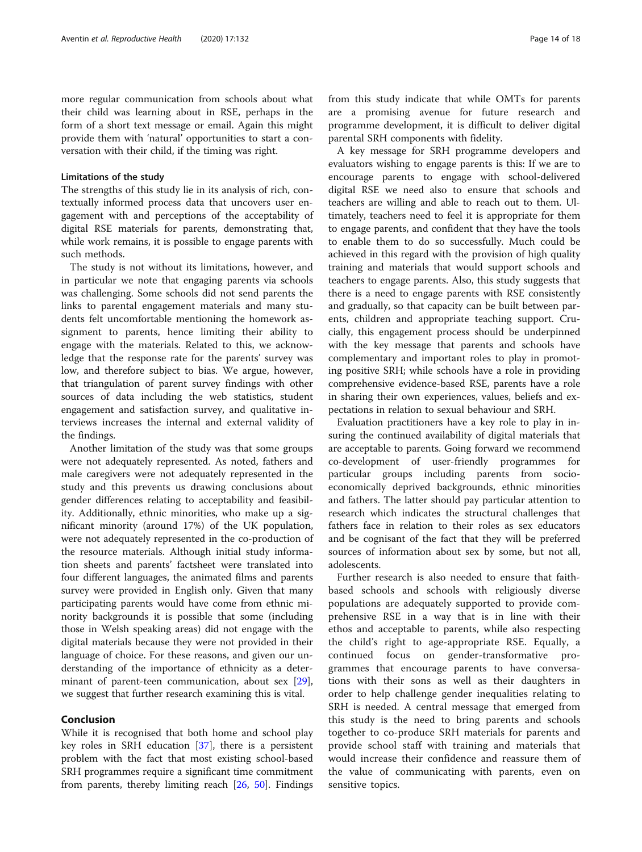more regular communication from schools about what their child was learning about in RSE, perhaps in the form of a short text message or email. Again this might provide them with 'natural' opportunities to start a conversation with their child, if the timing was right.

## Limitations of the study

The strengths of this study lie in its analysis of rich, contextually informed process data that uncovers user engagement with and perceptions of the acceptability of digital RSE materials for parents, demonstrating that, while work remains, it is possible to engage parents with such methods.

The study is not without its limitations, however, and in particular we note that engaging parents via schools was challenging. Some schools did not send parents the links to parental engagement materials and many students felt uncomfortable mentioning the homework assignment to parents, hence limiting their ability to engage with the materials. Related to this, we acknowledge that the response rate for the parents' survey was low, and therefore subject to bias. We argue, however, that triangulation of parent survey findings with other sources of data including the web statistics, student engagement and satisfaction survey, and qualitative interviews increases the internal and external validity of the findings.

Another limitation of the study was that some groups were not adequately represented. As noted, fathers and male caregivers were not adequately represented in the study and this prevents us drawing conclusions about gender differences relating to acceptability and feasibility. Additionally, ethnic minorities, who make up a significant minority (around 17%) of the UK population, were not adequately represented in the co-production of the resource materials. Although initial study information sheets and parents' factsheet were translated into four different languages, the animated films and parents survey were provided in English only. Given that many participating parents would have come from ethnic minority backgrounds it is possible that some (including those in Welsh speaking areas) did not engage with the digital materials because they were not provided in their language of choice. For these reasons, and given our understanding of the importance of ethnicity as a determinant of parent-teen communication, about sex [\[29](#page-15-0)], we suggest that further research examining this is vital.

# Conclusion

While it is recognised that both home and school play key roles in SRH education [\[37](#page-15-0)], there is a persistent problem with the fact that most existing school-based SRH programmes require a significant time commitment from parents, thereby limiting reach [\[26](#page-15-0), [50\]](#page-15-0). Findings

from this study indicate that while OMTs for parents are a promising avenue for future research and programme development, it is difficult to deliver digital parental SRH components with fidelity.

A key message for SRH programme developers and evaluators wishing to engage parents is this: If we are to encourage parents to engage with school-delivered digital RSE we need also to ensure that schools and teachers are willing and able to reach out to them. Ultimately, teachers need to feel it is appropriate for them to engage parents, and confident that they have the tools to enable them to do so successfully. Much could be achieved in this regard with the provision of high quality training and materials that would support schools and teachers to engage parents. Also, this study suggests that there is a need to engage parents with RSE consistently and gradually, so that capacity can be built between parents, children and appropriate teaching support. Crucially, this engagement process should be underpinned with the key message that parents and schools have complementary and important roles to play in promoting positive SRH; while schools have a role in providing comprehensive evidence-based RSE, parents have a role in sharing their own experiences, values, beliefs and expectations in relation to sexual behaviour and SRH.

Evaluation practitioners have a key role to play in insuring the continued availability of digital materials that are acceptable to parents. Going forward we recommend co-development of user-friendly programmes for particular groups including parents from socioeconomically deprived backgrounds, ethnic minorities and fathers. The latter should pay particular attention to research which indicates the structural challenges that fathers face in relation to their roles as sex educators and be cognisant of the fact that they will be preferred sources of information about sex by some, but not all, adolescents.

Further research is also needed to ensure that faithbased schools and schools with religiously diverse populations are adequately supported to provide comprehensive RSE in a way that is in line with their ethos and acceptable to parents, while also respecting the child's right to age-appropriate RSE. Equally, a continued focus on gender-transformative programmes that encourage parents to have conversations with their sons as well as their daughters in order to help challenge gender inequalities relating to SRH is needed. A central message that emerged from this study is the need to bring parents and schools together to co-produce SRH materials for parents and provide school staff with training and materials that would increase their confidence and reassure them of the value of communicating with parents, even on sensitive topics.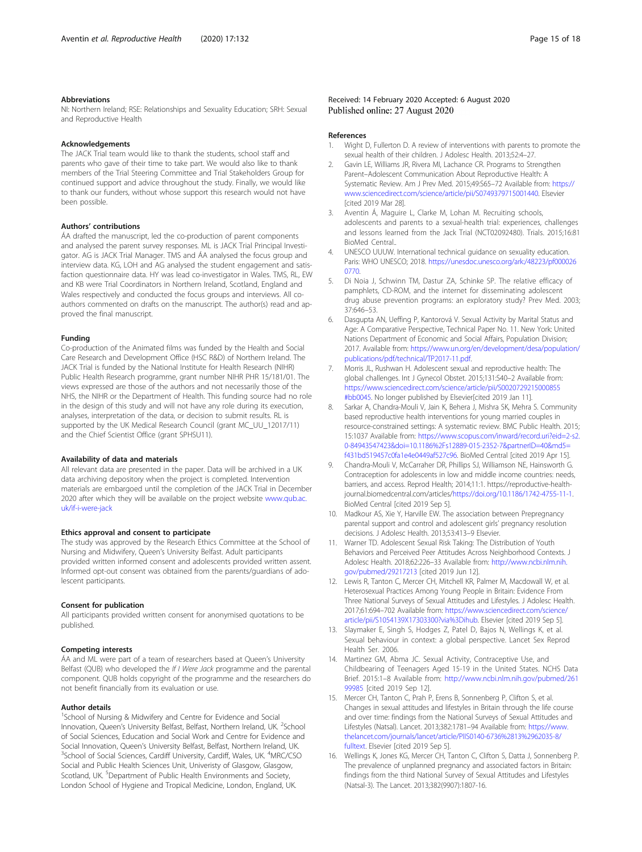<span id="page-14-0"></span>NI: Northern Ireland; RSE: Relationships and Sexuality Education; SRH: Sexual and Reproductive Health

#### Acknowledgements

The JACK Trial team would like to thank the students, school staff and parents who gave of their time to take part. We would also like to thank members of the Trial Steering Committee and Trial Stakeholders Group for continued support and advice throughout the study. Finally, we would like to thank our funders, without whose support this research would not have been possible.

#### Authors' contributions

ÁA drafted the manuscript, led the co-production of parent components and analysed the parent survey responses. ML is JACK Trial Principal Investigator. AG is JACK Trial Manager. TMS and ÁA analysed the focus group and interview data. KG, LOH and AG analysed the student engagement and satisfaction questionnaire data. HY was lead co-investigator in Wales. TMS, RL, EW and KB were Trial Coordinators in Northern Ireland, Scotland, England and Wales respectively and conducted the focus groups and interviews. All coauthors commented on drafts on the manuscript. The author(s) read and approved the final manuscript.

#### Funding

Co-production of the Animated films was funded by the Health and Social Care Research and Development Office (HSC R&D) of Northern Ireland. The JACK Trial is funded by the National Institute for Health Research (NIHR) Public Health Research programme, grant number NIHR PHR 15/181/01. The views expressed are those of the authors and not necessarily those of the NHS, the NIHR or the Department of Health. This funding source had no role in the design of this study and will not have any role during its execution, analyses, interpretation of the data, or decision to submit results. RL is supported by the UK Medical Research Council (grant MC\_UU\_12017/11) and the Chief Scientist Office (grant SPHSU11).

#### Availability of data and materials

All relevant data are presented in the paper. Data will be archived in a UK data archiving depository when the project is completed. Intervention materials are embargoed until the completion of the JACK Trial in December 2020 after which they will be available on the project website [www.qub.ac.](http://www.qub.ac.uk/if-i-were-jack) [uk/if-i-were-jack](http://www.qub.ac.uk/if-i-were-jack)

#### Ethics approval and consent to participate

The study was approved by the Research Ethics Committee at the School of Nursing and Midwifery, Queen's University Belfast. Adult participants provided written informed consent and adolescents provided written assent. Informed opt-out consent was obtained from the parents/guardians of adolescent participants.

#### Consent for publication

All participants provided written consent for anonymised quotations to be published.

#### Competing interests

ÁA and ML were part of a team of researchers based at Queen's University Belfast (QUB) who developed the If I Were Jack programme and the parental component. QUB holds copyright of the programme and the researchers do not benefit financially from its evaluation or use.

#### Author details

<sup>1</sup>School of Nursing & Midwifery and Centre for Evidence and Social Innovation, Queen's University Belfast, Belfast, Northern Ireland, UK. <sup>2</sup>School of Social Sciences, Education and Social Work and Centre for Evidence and Social Innovation, Queen's University Belfast, Belfast, Northern Ireland, UK. School of Social Sciences, Cardiff University, Cardiff, Wales, UK. <sup>4</sup>MRC/CSO Social and Public Health Sciences Unit, Univeristy of Glasgow, Glasgow, Scotland, UK. <sup>5</sup>Department of Public Health Environments and Society, London School of Hygiene and Tropical Medicine, London, England, UK.

#### Received: 14 February 2020 Accepted: 6 August 2020 Published online: 27 August 2020

#### References

- 1. Wight D, Fullerton D. A review of interventions with parents to promote the sexual health of their children. J Adolesc Health. 2013;52:4–27.
- 2. Gavin LE, Williams JR, Rivera MI, Lachance CR. Programs to Strengthen Parent–Adolescent Communication About Reproductive Health: A Systematic Review. Am J Prev Med. 2015;49:S65–72 Available from: [https://](https://www.sciencedirect.com/science/article/pii/S0749379715001440) [www.sciencedirect.com/science/article/pii/S0749379715001440](https://www.sciencedirect.com/science/article/pii/S0749379715001440). Elsevier [cited 2019 Mar 28].
- 3. Aventin Á, Maguire L, Clarke M, Lohan M. Recruiting schools, adolescents and parents to a sexual-health trial: experiences, challenges and lessons learned from the Jack Trial (NCT02092480). Trials. 2015;16:81 BioMed Central..
- 4. UNESCO UUUW. International technical guidance on sexuality education. Paris: WHO UNESCO; 2018. [https://unesdoc.unesco.org/ark:/48223/pf000026](https://unesdoc.unesco.org/ark:/48223/pf0000260770) [0770](https://unesdoc.unesco.org/ark:/48223/pf0000260770).
- 5. Di Noia J, Schwinn TM, Dastur ZA, Schinke SP. The relative efficacy of pamphlets, CD-ROM, and the internet for disseminating adolescent drug abuse prevention programs: an exploratory study? Prev Med. 2003; 37:646–53.
- 6. Dasgupta AN, Ueffing P, Kantorová V. Sexual Activity by Marital Status and Age: A Comparative Perspective, Technical Paper No. 11. New York: United Nations Department of Economic and Social Affairs, Population Division; 2017. Available from: [https://www.un.org/en/development/desa/population/](https://www.un.org/en/development/desa/population/publications/pdf/technical/TP2017-11.pdf) [publications/pdf/technical/TP2017-11.pdf.](https://www.un.org/en/development/desa/population/publications/pdf/technical/TP2017-11.pdf)
- 7. Morris JL, Rushwan H. Adolescent sexual and reproductive health: The global challenges. Int J Gynecol Obstet. 2015;131:S40–2 Available from: [https://www.sciencedirect.com/science/article/pii/S0020729215000855](https://www.sciencedirect.com/science/article/pii/S0020729215000855#bb0045) [#bb0045](https://www.sciencedirect.com/science/article/pii/S0020729215000855#bb0045). No longer published by Elsevier[cited 2019 Jan 11].
- 8. Sarkar A, Chandra-Mouli V, Jain K, Behera J, Mishra SK, Mehra S. Community based reproductive health interventions for young married couples in resource-constrained settings: A systematic review. BMC Public Health. 2015; 15:1037 Available from: [https://www.scopus.com/inward/record.uri?eid=2-s2.](https://www.scopus.com/inward/record.uri?eid=2-s2.0-84943547423&doi=10.1186%2Fs12889-015-2352-7&partnerID=40&md5=f431bd519457c0fa1e4e0449af527c96) [0-84943547423&doi=10.1186%2Fs12889-015-2352-7&partnerID=40&md5=](https://www.scopus.com/inward/record.uri?eid=2-s2.0-84943547423&doi=10.1186%2Fs12889-015-2352-7&partnerID=40&md5=f431bd519457c0fa1e4e0449af527c96) [f431bd519457c0fa1e4e0449af527c96](https://www.scopus.com/inward/record.uri?eid=2-s2.0-84943547423&doi=10.1186%2Fs12889-015-2352-7&partnerID=40&md5=f431bd519457c0fa1e4e0449af527c96). BioMed Central [cited 2019 Apr 15].
- 9. Chandra-Mouli V, McCarraher DR, Phillips SJ, Williamson NE, Hainsworth G. Contraception for adolescents in low and middle income countries: needs, barriers, and access. Reprod Health; 2014;11:1. https://reproductive-healthjournal.biomedcentral.com/articles[/https://doi.org/10.1186/1742-4755-11-1](https://doi.org/10.1186/1742-4755-11-1). BioMed Central [cited 2019 Sep 5].
- 10. Madkour AS, Xie Y, Harville EW. The association between Prepregnancy parental support and control and adolescent girls' pregnancy resolution decisions. J Adolesc Health. 2013;53:413–9 Elsevier.
- 11. Warner TD. Adolescent Sexual Risk Taking: The Distribution of Youth Behaviors and Perceived Peer Attitudes Across Neighborhood Contexts. J Adolesc Health. 2018;62:226–33 Available from: [http://www.ncbi.nlm.nih.](http://www.ncbi.nlm.nih.gov/pubmed/29217213) [gov/pubmed/29217213](http://www.ncbi.nlm.nih.gov/pubmed/29217213) [cited 2019 Jun 12].
- 12. Lewis R, Tanton C, Mercer CH, Mitchell KR, Palmer M, Macdowall W, et al. Heterosexual Practices Among Young People in Britain: Evidence From Three National Surveys of Sexual Attitudes and Lifestyles. J Adolesc Health. 2017;61:694–702 Available from: [https://www.sciencedirect.com/science/](https://www.sciencedirect.com/science/article/pii/S1054139X17303300?via%3Dihub) [article/pii/S1054139X17303300?via%3Dihub](https://www.sciencedirect.com/science/article/pii/S1054139X17303300?via%3Dihub). Elsevier [cited 2019 Sep 5].
- 13. Slaymaker E, Singh S, Hodges Z, Patel D, Bajos N, Wellings K, et al. Sexual behaviour in context: a global perspective. Lancet Sex Reprod Health Ser. 2006.
- 14. Martinez GM, Abma JC. Sexual Activity, Contraceptive Use, and Childbearing of Teenagers Aged 15-19 in the United States. NCHS Data Brief. 2015:1–8 Available from: [http://www.ncbi.nlm.nih.gov/pubmed/261](http://www.ncbi.nlm.nih.gov/pubmed/26199985) [99985](http://www.ncbi.nlm.nih.gov/pubmed/26199985) [cited 2019 Sep 12].
- 15. Mercer CH, Tanton C, Prah P, Erens B, Sonnenberg P, Clifton S, et al. Changes in sexual attitudes and lifestyles in Britain through the life course and over time: findings from the National Surveys of Sexual Attitudes and Lifestyles (Natsal). Lancet. 2013;382:1781–94 Available from: [https://www.](https://www.thelancet.com/journals/lancet/article/PIIS0140-6736%2813%2962035-8/fulltext) [thelancet.com/journals/lancet/article/PIIS0140-6736%2813%2962035-8/](https://www.thelancet.com/journals/lancet/article/PIIS0140-6736%2813%2962035-8/fulltext) [fulltext](https://www.thelancet.com/journals/lancet/article/PIIS0140-6736%2813%2962035-8/fulltext). Elsevier [cited 2019 Sep 5].
- 16. Wellings K, Jones KG, Mercer CH, Tanton C, Clifton S, Datta J, Sonnenberg P. The prevalence of unplanned pregnancy and associated factors in Britain: findings from the third National Survey of Sexual Attitudes and Lifestyles (Natsal-3). The Lancet. 2013;382(9907):1807-16.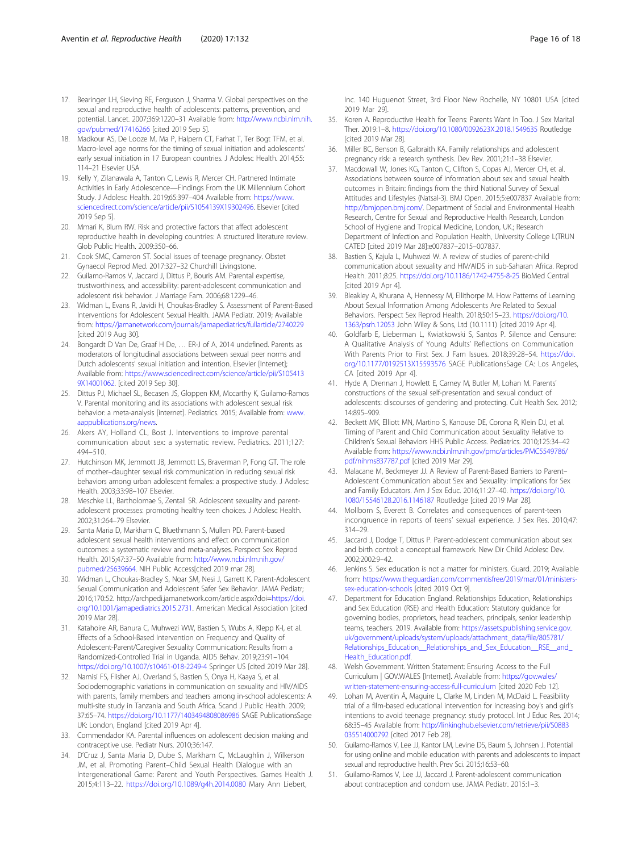- <span id="page-15-0"></span>17. Bearinger LH, Sieving RE, Ferguson J, Sharma V. Global perspectives on the sexual and reproductive health of adolescents: patterns, prevention, and potential. Lancet. 2007;369:1220–31 Available from: [http://www.ncbi.nlm.nih.](http://www.ncbi.nlm.nih.gov/pubmed/17416266) [gov/pubmed/17416266](http://www.ncbi.nlm.nih.gov/pubmed/17416266) [cited 2019 Sep 5].
- 18. Madkour AS, De Looze M, Ma P, Halpern CT, Farhat T, Ter Bogt TFM, et al. Macro-level age norms for the timing of sexual initiation and adolescents' early sexual initiation in 17 European countries. J Adolesc Health. 2014;55: 114–21 Elsevier USA.
- 19. Kelly Y, Zilanawala A, Tanton C, Lewis R, Mercer CH. Partnered Intimate Activities in Early Adolescence—Findings From the UK Millennium Cohort Study. J Adolesc Health. 2019;65:397–404 Available from: [https://www.](https://www.sciencedirect.com/science/article/pii/S1054139X19302496) [sciencedirect.com/science/article/pii/S1054139X19302496](https://www.sciencedirect.com/science/article/pii/S1054139X19302496). Elsevier [cited 2019 Sep 5].
- 20. Mmari K, Blum RW. Risk and protective factors that affect adolescent reproductive health in developing countries: A structured literature review. Glob Public Health. 2009:350–66.
- 21. Cook SMC, Cameron ST. Social issues of teenage pregnancy. Obstet Gynaecol Reprod Med. 2017:327–32 Churchill Livingstone.
- 22. Guilamo-Ramos V, Jaccard J, Dittus P, Bouris AM. Parental expertise, trustworthiness, and accessibility: parent-adolescent communication and adolescent risk behavior. J Marriage Fam. 2006;68:1229–46.
- 23. Widman L, Evans R, Javidi H, Choukas-Bradley S. Assessment of Parent-Based Interventions for Adolescent Sexual Health. JAMA Pediatr. 2019; Available from: <https://jamanetwork.com/journals/jamapediatrics/fullarticle/2740229> [cited 2019 Aug 30].
- 24. Bongardt D Van De, Graaf H De, … ER-J of A, 2014 undefined. Parents as moderators of longitudinal associations between sexual peer norms and Dutch adolescents' sexual initiation and intention. Elsevier [Internet]; Available from: [https://www.sciencedirect.com/science/article/pii/S105413](https://www.sciencedirect.com/science/article/pii/S1054139X14001062) [9X14001062](https://www.sciencedirect.com/science/article/pii/S1054139X14001062). [cited 2019 Sep 30].
- 25. Dittus PJ, Michael SL, Becasen JS, Gloppen KM, Mccarthy K, Guilamo-Ramos V. Parental monitoring and its associations with adolescent sexual risk behavior: a meta-analysis [internet]. Pediatrics. 2015; Available from: [www.](http://www.aappublications.org/news) [aappublications.org/news.](http://www.aappublications.org/news)
- 26. Akers AY, Holland CL, Bost J. Interventions to improve parental communication about sex: a systematic review. Pediatrics. 2011;127: 494–510.
- 27. Hutchinson MK, Jemmott JB, Jemmott LS, Braverman P, Fong GT. The role of mother–daughter sexual risk communication in reducing sexual risk behaviors among urban adolescent females: a prospective study. J Adolesc Health. 2003;33:98–107 Elsevier.
- 28. Meschke LL, Bartholomae S, Zentall SR. Adolescent sexuality and parentadolescent processes: promoting healthy teen choices. J Adolesc Health. 2002;31:264–79 Elsevier.
- 29. Santa Maria D, Markham C, Bluethmann S, Mullen PD. Parent-based adolescent sexual health interventions and effect on communication outcomes: a systematic review and meta-analyses. Perspect Sex Reprod Health. 2015;47:37–50 Available from: [http://www.ncbi.nlm.nih.gov/](http://www.ncbi.nlm.nih.gov/pubmed/25639664) [pubmed/25639664.](http://www.ncbi.nlm.nih.gov/pubmed/25639664) NIH Public Access[cited 2019 mar 28].
- 30. Widman L, Choukas-Bradley S, Noar SM, Nesi J, Garrett K. Parent-Adolescent Sexual Communication and Adolescent Safer Sex Behavior. JAMA Pediatr; 2016;170:52. http://archpedi.jamanetwork.com/article.aspx?doi[=https://doi.](https://doi.org/10.1001/jamapediatrics.2015.2731) [org/10.1001/jamapediatrics.2015.2731.](https://doi.org/10.1001/jamapediatrics.2015.2731) American Medical Association [cited 2019 Mar 28].
- 31. Katahoire AR, Banura C, Muhwezi WW, Bastien S, Wubs A, Klepp K-I, et al. Effects of a School-Based Intervention on Frequency and Quality of Adolescent-Parent/Caregiver Sexuality Communication: Results from a Randomized-Controlled Trial in Uganda. AIDS Behav. 2019;23:91–104. <https://doi.org/10.1007/s10461-018-2249-4> Springer US [cited 2019 Mar 28].
- 32. Namisi FS, Flisher AJ, Overland S, Bastien S, Onya H, Kaaya S, et al. Sociodemographic variations in communication on sexuality and HIV/AIDS with parents, family members and teachers among in-school adolescents: A multi-site study in Tanzania and South Africa. Scand J Public Health. 2009; 37:65–74. <https://doi.org/10.1177/1403494808086986> SAGE PublicationsSage UK: London, England [cited 2019 Apr 4].
- 33. Commendador KA. Parental influences on adolescent decision making and contraceptive use. Pediatr Nurs. 2010;36:147.
- 34. D'Cruz J, Santa Maria D, Dube S, Markham C, McLaughlin J, Wilkerson JM, et al. Promoting Parent–Child Sexual Health Dialogue with an Intergenerational Game: Parent and Youth Perspectives. Games Health J. 2015;4:113–22. <https://doi.org/10.1089/g4h.2014.0080> Mary Ann Liebert,

Inc. 140 Huguenot Street, 3rd Floor New Rochelle, NY 10801 USA [cited 2019 Mar 29].

- 35. Koren A. Reproductive Health for Teens: Parents Want In Too. J Sex Marital Ther. 2019:1–8. <https://doi.org/10.1080/0092623X.2018.1549635> Routledge [cited 2019 Mar 28].
- 36. Miller BC, Benson B, Galbraith KA. Family relationships and adolescent pregnancy risk: a research synthesis. Dev Rev. 2001;21:1–38 Elsevier.
- 37. Macdowall W, Jones KG, Tanton C, Clifton S, Copas AJ, Mercer CH, et al. Associations between source of information about sex and sexual health outcomes in Britain: findings from the third National Survey of Sexual Attitudes and Lifestyles (Natsal-3). BMJ Open. 2015;5:e007837 Available from: <http://bmjopen.bmj.com/>. Department of Social and Environmental Health Research, Centre for Sexual and Reproductive Health Research, London School of Hygiene and Tropical Medicine, London, UK.; Research Department of Infection and Population Health, University College L(TRUN CATED [cited 2019 Mar 28]:e007837–2015–007837.
- 38. Bastien S, Kajula L, Muhwezi W. A review of studies of parent-child communication about sexuality and HIV/AIDS in sub-Saharan Africa. Reprod Health. 2011;8:25. <https://doi.org/10.1186/1742-4755-8-25> BioMed Central [cited 2019 Apr 4].
- 39. Bleakley A, Khurana A, Hennessy M, Ellithorpe M. How Patterns of Learning About Sexual Information Among Adolescents Are Related to Sexual Behaviors. Perspect Sex Reprod Health. 2018;50:15–23. [https://doi.org/10.](https://doi.org/10.1363/psrh.12053) [1363/psrh.12053](https://doi.org/10.1363/psrh.12053) John Wiley & Sons, Ltd (10.1111) [cited 2019 Apr 4].
- 40. Goldfarb E, Lieberman L, Kwiatkowski S, Santos P. Silence and Censure: A Qualitative Analysis of Young Adults' Reflections on Communication With Parents Prior to First Sex. J Fam Issues. 2018;39:28–54. [https://doi.](https://doi.org/10.1177/0192513X15593576) [org/10.1177/0192513X15593576](https://doi.org/10.1177/0192513X15593576) SAGE PublicationsSage CA: Los Angeles, CA [cited 2019 Apr 4].
- 41. Hyde A, Drennan J, Howlett E, Carney M, Butler M, Lohan M. Parents' constructions of the sexual self-presentation and sexual conduct of adolescents: discourses of gendering and protecting. Cult Health Sex. 2012; 14:895–909.
- 42. Beckett MK, Elliott MN, Martino S, Kanouse DE, Corona R, Klein DJ, et al. Timing of Parent and Child Communication about Sexuality Relative to Children's Sexual Behaviors HHS Public Access. Pediatrics. 2010;125:34–42 Available from: [https://www.ncbi.nlm.nih.gov/pmc/articles/PMC5549786/](https://www.ncbi.nlm.nih.gov/pmc/articles/PMC5549786/pdf/nihms837787.pdf) [pdf/nihms837787.pdf](https://www.ncbi.nlm.nih.gov/pmc/articles/PMC5549786/pdf/nihms837787.pdf) [cited 2019 Mar 29].
- 43. Malacane M, Beckmeyer JJ. A Review of Parent-Based Barriers to Parent– Adolescent Communication about Sex and Sexuality: Implications for Sex and Family Educators. Am J Sex Educ. 2016;11:27–40. [https://doi.org/10.](https://doi.org/10.1080/15546128.2016.1146187) [1080/15546128.2016.1146187](https://doi.org/10.1080/15546128.2016.1146187) Routledge [cited 2019 Mar 28].
- 44. Mollborn S, Everett B. Correlates and consequences of parent-teen incongruence in reports of teens' sexual experience. J Sex Res. 2010;47: 314–29.
- 45. Jaccard J, Dodge T, Dittus P. Parent-adolescent communication about sex and birth control: a conceptual framework. New Dir Child Adolesc Dev. 2002;2002:9–42.
- 46. Jenkins S. Sex education is not a matter for ministers. Guard. 2019; Available from: [https://www.theguardian.com/commentisfree/2019/mar/01/ministers](https://www.theguardian.com/commentisfree/2019/mar/01/ministers-sex-education-schools)[sex-education-schools](https://www.theguardian.com/commentisfree/2019/mar/01/ministers-sex-education-schools) [cited 2019 Oct 9].
- 47. Department for Education England. Relationships Education, Relationships and Sex Education (RSE) and Health Education: Statutory guidance for governing bodies, proprietors, head teachers, principals, senior leadership teams, teachers. 2019. Available from: [https://assets.publishing.service.gov.](https://assets.publishing.service.gov.uk/government/uploads/system/uploads/attachment_data/file/805781/Relationships_Education__Relationships_and_Sex_Education__RSE__and_Health_Education.pdf) [uk/government/uploads/system/uploads/attachment\\_data/file/805781/](https://assets.publishing.service.gov.uk/government/uploads/system/uploads/attachment_data/file/805781/Relationships_Education__Relationships_and_Sex_Education__RSE__and_Health_Education.pdf) [Relationships\\_Education\\_\\_Relationships\\_and\\_Sex\\_Education\\_\\_RSE\\_\\_and\\_](https://assets.publishing.service.gov.uk/government/uploads/system/uploads/attachment_data/file/805781/Relationships_Education__Relationships_and_Sex_Education__RSE__and_Health_Education.pdf) [Health\\_Education.pdf.](https://assets.publishing.service.gov.uk/government/uploads/system/uploads/attachment_data/file/805781/Relationships_Education__Relationships_and_Sex_Education__RSE__and_Health_Education.pdf)
- 48. Welsh Government. Written Statement: Ensuring Access to the Full Curriculum | GOV.WALES [Internet]. Available from: [https://gov.wales/](https://gov.wales/written-statement-ensuring-access-full-curriculum) [written-statement-ensuring-access-full-curriculum](https://gov.wales/written-statement-ensuring-access-full-curriculum) [cited 2020 Feb 12].
- 49. Lohan M, Aventin Á, Maguire L, Clarke M, Linden M, McDaid L. Feasibility trial of a film-based educational intervention for increasing boy's and girl's intentions to avoid teenage pregnancy: study protocol. Int J Educ Res. 2014; 68:35–45 Available from: [http://linkinghub.elsevier.com/retrieve/pii/S0883](http://linkinghub.elsevier.com/retrieve/pii/S0883035514000792) [035514000792](http://linkinghub.elsevier.com/retrieve/pii/S0883035514000792) [cited 2017 Feb 28].
- 50. Guilamo-Ramos V, Lee JJ, Kantor LM, Levine DS, Baum S, Johnsen J. Potential for using online and mobile education with parents and adolescents to impact sexual and reproductive health. Prev Sci. 2015;16:53–60.
- 51. Guilamo-Ramos V, Lee JJ, Jaccard J. Parent-adolescent communication about contraception and condom use. JAMA Pediatr. 2015:1–3.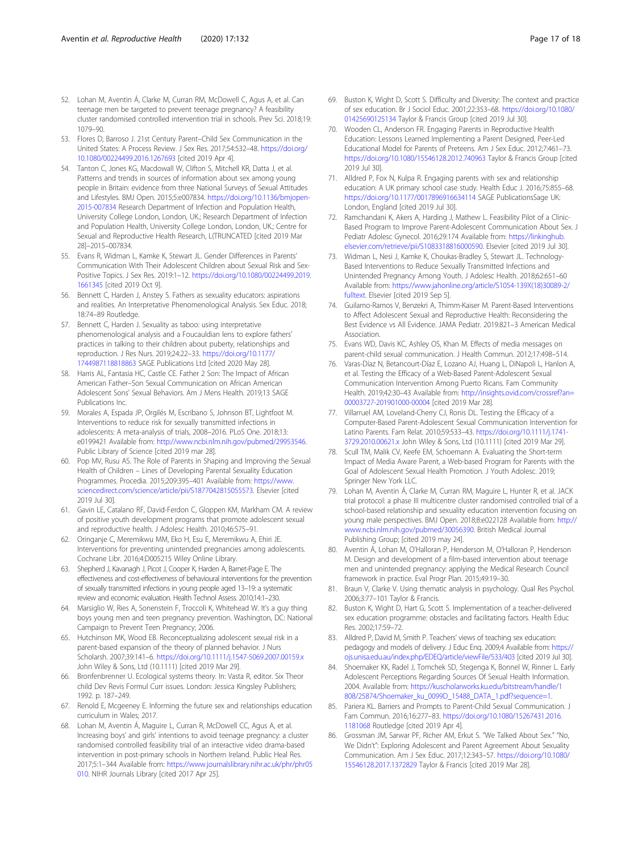- <span id="page-16-0"></span>52. Lohan M, Aventin Á, Clarke M, Curran RM, McDowell C, Agus A, et al. Can teenage men be targeted to prevent teenage pregnancy? A feasibility cluster randomised controlled intervention trial in schools. Prev Sci. 2018;19: 1079–90.
- 53. Flores D, Barroso J. 21st Century Parent–Child Sex Communication in the United States: A Process Review. J Sex Res. 2017;54:532–48. [https://doi.org/](https://doi.org/10.1080/00224499.2016.1267693) [10.1080/00224499.2016.1267693](https://doi.org/10.1080/00224499.2016.1267693) [cited 2019 Apr 4].
- 54. Tanton C, Jones KG, Macdowall W, Clifton S, Mitchell KR, Datta J, et al. Patterns and trends in sources of information about sex among young people in Britain: evidence from three National Surveys of Sexual Attitudes and Lifestyles. BMJ Open. 2015;5:e007834. [https://doi.org/10.1136/bmjopen-](https://doi.org/10.1136/bmjopen-2015-007834)[2015-007834](https://doi.org/10.1136/bmjopen-2015-007834) Research Department of Infection and Population Health, University College London, London, UK.; Research Department of Infection and Population Health, University College London, London, UK.; Centre for Sexual and Reproductive Health Research, L(TRUNCATED [cited 2019 Mar 28]–2015–007834.
- 55. Evans R, Widman L, Kamke K, Stewart JL. Gender Differences in Parents' Communication With Their Adolescent Children about Sexual Risk and Sex-Positive Topics. J Sex Res. 2019:1–12. [https://doi.org/10.1080/00224499.2019.](https://doi.org/10.1080/00224499.2019.1661345) [1661345](https://doi.org/10.1080/00224499.2019.1661345) [cited 2019 Oct 9].
- 56. Bennett C, Harden J, Anstey S. Fathers as sexuality educators: aspirations and realities. An Interpretative Phenomenological Analysis. Sex Educ. 2018; 18:74–89 Routledge.
- 57. Bennett C, Harden J. Sexuality as taboo: using interpretative phenomenological analysis and a Foucauldian lens to explore fathers' practices in talking to their children about puberty, relationships and reproduction. J Res Nurs. 2019;24:22–33. [https://doi.org/10.1177/](https://doi.org/10.1177/1744987118818863) [1744987118818863](https://doi.org/10.1177/1744987118818863) SAGE Publications Ltd [cited 2020 May 28].
- 58. Harris AL, Fantasia HC, Castle CE. Father 2 Son: The Impact of African American Father–Son Sexual Communication on African American Adolescent Sons' Sexual Behaviors. Am J Mens Health. 2019;13 SAGE Publications Inc.
- 59. Morales A, Espada JP, Orgilés M, Escribano S, Johnson BT, Lightfoot M. Interventions to reduce risk for sexually transmitted infections in adolescents: A meta-analysis of trials, 2008–2016. PLoS One. 2018;13: e0199421 Available from: [http://www.ncbi.nlm.nih.gov/pubmed/29953546.](http://www.ncbi.nlm.nih.gov/pubmed/29953546) Public Library of Science [cited 2019 mar 28].
- 60. Pop MV, Rusu AS. The Role of Parents in Shaping and Improving the Sexual Health of Children – Lines of Developing Parental Sexuality Education Programmes. Procedia. 2015;209:395–401 Available from: [https://www.](https://www.sciencedirect.com/science/article/pii/S1877042815055573) [sciencedirect.com/science/article/pii/S1877042815055573.](https://www.sciencedirect.com/science/article/pii/S1877042815055573) Elsevier [cited 2019 Jul 30].
- 61. Gavin LE, Catalano RF, David-Ferdon C, Gloppen KM, Markham CM. A review of positive youth development programs that promote adolescent sexual and reproductive health. J Adolesc Health. 2010;46:S75–91.
- 62. Oringanje C, Meremikwu MM, Eko H, Esu E, Meremikwu A, Ehiri JE. Interventions for preventing unintended pregnancies among adolescents. Cochrane Libr. 2016;4:D005215 Wiley Online Library.
- 63. Shepherd J, Kavanagh J, Picot J, Cooper K, Harden A, Barnet-Page E. The effectiveness and cost-effectiveness of behavioural interventions for the prevention of sexually transmitted infections in young people aged 13–19: a systematic review and economic evaluation. Health Technol Assess. 2010;14:1–230.
- 64. Marsiglio W, Ries A, Sonenstein F, Troccoli K, Whitehead W. It's a guy thing boys young men and teen pregnancy prevention. Washington, DC: National Campaign to Prevent Teen Pregnancy; 2006.
- 65. Hutchinson MK, Wood EB. Reconceptualizing adolescent sexual risk in a parent-based expansion of the theory of planned behavior. J Nurs Scholarsh. 2007;39:141–6. <https://doi.org/10.1111/j.1547-5069.2007.00159.x> John Wiley & Sons, Ltd (10.1111) [cited 2019 Mar 29].
- 66. Bronfenbrenner U. Ecological systems theory. In: Vasta R, editor. Six Theor child Dev Revis Formul Curr issues. London: Jessica Kingsley Publishers; 1992. p. 187–249.
- 67. Renold E, Mcgeeney E. Informing the future sex and relationships education curriculum in Wales; 2017.
- 68. Lohan M, Aventin Á, Maguire L, Curran R, McDowell CC, Agus A, et al. Increasing boys' and girls' intentions to avoid teenage pregnancy: a cluster randomised controlled feasibility trial of an interactive video drama-based intervention in post-primary schools in Northern Ireland. Public Heal Res. 2017;5:1–344 Available from: [https://www.journalslibrary.nihr.ac.uk/phr/phr05](https://www.journalslibrary.nihr.ac.uk/phr/phr05010) [010.](https://www.journalslibrary.nihr.ac.uk/phr/phr05010) NIHR Journals Library [cited 2017 Apr 25].
- 69. Buston K, Wight D, Scott S. Difficulty and Diversity: The context and practice of sex education. Br J Sociol Educ. 2001;22:353–68. [https://doi.org/10.1080/](https://doi.org/10.1080/01425690125134) [01425690125134](https://doi.org/10.1080/01425690125134) Taylor & Francis Group [cited 2019 Jul 30].
- 70. Wooden CL, Anderson FR. Engaging Parents in Reproductive Health Education: Lessons Learned Implementing a Parent Designed, Peer-Led Educational Model for Parents of Preteens. Am J Sex Educ. 2012;7:461–73. <https://doi.org/10.1080/15546128.2012.740963> Taylor & Francis Group [cited 2019 Jul 30].
- 71. Alldred P, Fox N, Kulpa R. Engaging parents with sex and relationship education: A UK primary school case study. Health Educ J. 2016;75:855–68. <https://doi.org/10.1177/0017896916634114> SAGE PublicationsSage UK: London, England [cited 2019 Jul 30].
- 72. Ramchandani K, Akers A, Harding J, Mathew L. Feasibility Pilot of a Clinic-Based Program to Improve Parent-Adolescent Communication About Sex. J Pediatr Adolesc Gynecol. 2016;29:174 Available from: [https://linkinghub.](https://linkinghub.elsevier.com/retrieve/pii/S1083318816000590) [elsevier.com/retrieve/pii/S1083318816000590.](https://linkinghub.elsevier.com/retrieve/pii/S1083318816000590) Elsevier [cited 2019 Jul 30].
- 73. Widman L, Nesi J, Kamke K, Choukas-Bradley S, Stewart JL. Technology-Based Interventions to Reduce Sexually Transmitted Infections and Unintended Pregnancy Among Youth. J Adolesc Health. 2018;62:651–60 Available from: [https://www.jahonline.org/article/S1054-139X\(18\)30089-2/](https://www.jahonline.org/article/S1054-139X(18)30089-2/fulltext) [fulltext](https://www.jahonline.org/article/S1054-139X(18)30089-2/fulltext). Elsevier [cited 2019 Sep 5].
- 74. Guilamo-Ramos V, Benzekri A, Thimm-Kaiser M. Parent-Based Interventions to Affect Adolescent Sexual and Reproductive Health: Reconsidering the Best Evidence vs All Evidence. JAMA Pediatr. 2019:821–3 American Medical Association.
- 75. Evans WD, Davis KC, Ashley OS, Khan M. Effects of media messages on parent-child sexual communication. J Health Commun. 2012;17:498–514.
- 76. Varas-Díaz N, Betancourt-Díaz E, Lozano AJ, Huang L, DiNapoli L, Hanlon A, et al. Testing the Efficacy of a Web-Based Parent-Adolescent Sexual Communication Intervention Among Puerto Ricans. Fam Community Health. 2019;42:30–43 Available from: [http://insights.ovid.com/crossref?an=](http://insights.ovid.com/crossref?an=00003727-201901000-00004) [00003727-201901000-00004](http://insights.ovid.com/crossref?an=00003727-201901000-00004) [cited 2019 Mar 28].
- 77. Villarruel AM, Loveland-Cherry CJ, Ronis DL. Testing the Efficacy of a Computer-Based Parent-Adolescent Sexual Communication Intervention for Latino Parents. Fam Relat. 2010;59:533–43. [https://doi.org/10.1111/j.1741-](https://doi.org/10.1111/j.1741-3729.2010.00621.x) [3729.2010.00621.x](https://doi.org/10.1111/j.1741-3729.2010.00621.x) John Wiley & Sons, Ltd (10.1111) [cited 2019 Mar 29].
- 78. Scull TM, Malik CV, Keefe EM, Schoemann A. Evaluating the Short-term Impact of Media Aware Parent, a Web-based Program for Parents with the Goal of Adolescent Sexual Health Promotion. J Youth Adolesc. 2019; Springer New York LLC.
- 79. Lohan M, Aventin Á, Clarke M, Curran RM, Maguire L, Hunter R, et al. JACK trial protocol: a phase III multicentre cluster randomised controlled trial of a school-based relationship and sexuality education intervention focusing on young male perspectives. BMJ Open. 2018;8:e022128 Available from: [http://](http://www.ncbi.nlm.nih.gov/pubmed/30056390) [www.ncbi.nlm.nih.gov/pubmed/30056390.](http://www.ncbi.nlm.nih.gov/pubmed/30056390) British Medical Journal Publishing Group; [cited 2019 may 24].
- 80. Aventin Á, Lohan M, O'Halloran P, Henderson M, O'Halloran P, Henderson M. Design and development of a film-based intervention about teenage men and unintended pregnancy: applying the Medical Research Council framework in practice. Eval Progr Plan. 2015;49:19–30.
- 81. Braun V, Clarke V. Using thematic analysis in psychology. Qual Res Psychol. 2006;3:77–101 Taylor & Francis.
- 82. Buston K, Wight D, Hart G, Scott S. Implementation of a teacher-delivered sex education programme: obstacles and facilitating factors. Health Educ Res. 2002;17:59–72.
- 83. Alldred P, David M, Smith P. Teachers' views of teaching sex education: pedagogy and models of delivery. J Educ Enq. 2009;4 Available from: [https://](https://ojs.unisa.edu.au/index.php/EDEQ/article/viewFile/533/403) [ojs.unisa.edu.au/index.php/EDEQ/article/viewFile/533/403](https://ojs.unisa.edu.au/index.php/EDEQ/article/viewFile/533/403) [cited 2019 Jul 30].
- 84. Shoemaker KK, Radel J, Tomchek SD, Stegenga K, Bonnel W, Rinner L. Early Adolescent Perceptions Regarding Sources Of Sexual Health Information. 2004. Available from: [https://kuscholarworks.ku.edu/bitstream/handle/1](https://kuscholarworks.ku.edu/bitstream/handle/1808/25874/Shoemaker_ku_0099D_15488_DATA_1.pdf?sequence=1) [808/25874/Shoemaker\\_ku\\_0099D\\_15488\\_DATA\\_1.pdf?sequence=1](https://kuscholarworks.ku.edu/bitstream/handle/1808/25874/Shoemaker_ku_0099D_15488_DATA_1.pdf?sequence=1).
- 85. Pariera KL. Barriers and Prompts to Parent-Child Sexual Communication. J Fam Commun. 2016;16:277–83. [https://doi.org/10.1080/15267431.2016.](https://doi.org/10.1080/15267431.2016.1181068) [1181068](https://doi.org/10.1080/15267431.2016.1181068) Routledge [cited 2019 Apr 4].
- Grossman JM, Sarwar PF, Richer AM, Erkut S. "We Talked About Sex." "No, We Didn't": Exploring Adolescent and Parent Agreement About Sexuality Communication. Am J Sex Educ. 2017;12:343–57. [https://doi.org/10.1080/](https://doi.org/10.1080/15546128.2017.1372829) [15546128.2017.1372829](https://doi.org/10.1080/15546128.2017.1372829) Taylor & Francis [cited 2019 Mar 28].